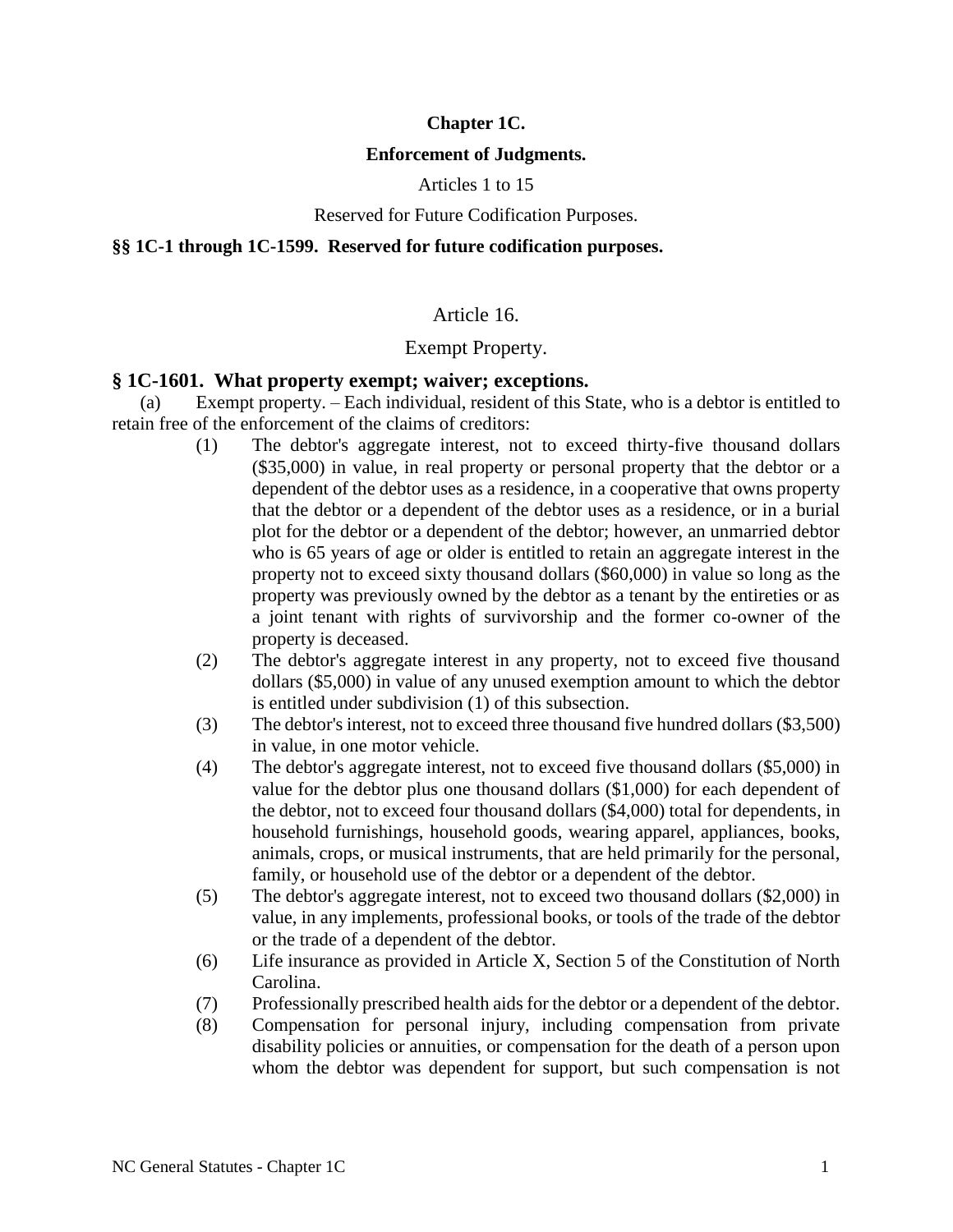### **Chapter 1C.**

### **Enforcement of Judgments.**

Articles 1 to 15

#### Reserved for Future Codification Purposes.

#### **§§ 1C-1 through 1C-1599. Reserved for future codification purposes.**

### Article 16.

### Exempt Property.

### **§ 1C-1601. What property exempt; waiver; exceptions.**

(a) Exempt property. – Each individual, resident of this State, who is a debtor is entitled to retain free of the enforcement of the claims of creditors:

- (1) The debtor's aggregate interest, not to exceed thirty-five thousand dollars (\$35,000) in value, in real property or personal property that the debtor or a dependent of the debtor uses as a residence, in a cooperative that owns property that the debtor or a dependent of the debtor uses as a residence, or in a burial plot for the debtor or a dependent of the debtor; however, an unmarried debtor who is 65 years of age or older is entitled to retain an aggregate interest in the property not to exceed sixty thousand dollars (\$60,000) in value so long as the property was previously owned by the debtor as a tenant by the entireties or as a joint tenant with rights of survivorship and the former co-owner of the property is deceased.
- (2) The debtor's aggregate interest in any property, not to exceed five thousand dollars (\$5,000) in value of any unused exemption amount to which the debtor is entitled under subdivision (1) of this subsection.
- (3) The debtor's interest, not to exceed three thousand five hundred dollars (\$3,500) in value, in one motor vehicle.
- (4) The debtor's aggregate interest, not to exceed five thousand dollars (\$5,000) in value for the debtor plus one thousand dollars (\$1,000) for each dependent of the debtor, not to exceed four thousand dollars (\$4,000) total for dependents, in household furnishings, household goods, wearing apparel, appliances, books, animals, crops, or musical instruments, that are held primarily for the personal, family, or household use of the debtor or a dependent of the debtor.
- (5) The debtor's aggregate interest, not to exceed two thousand dollars (\$2,000) in value, in any implements, professional books, or tools of the trade of the debtor or the trade of a dependent of the debtor.
- (6) Life insurance as provided in Article X, Section 5 of the Constitution of North Carolina.
- (7) Professionally prescribed health aids for the debtor or a dependent of the debtor.
- (8) Compensation for personal injury, including compensation from private disability policies or annuities, or compensation for the death of a person upon whom the debtor was dependent for support, but such compensation is not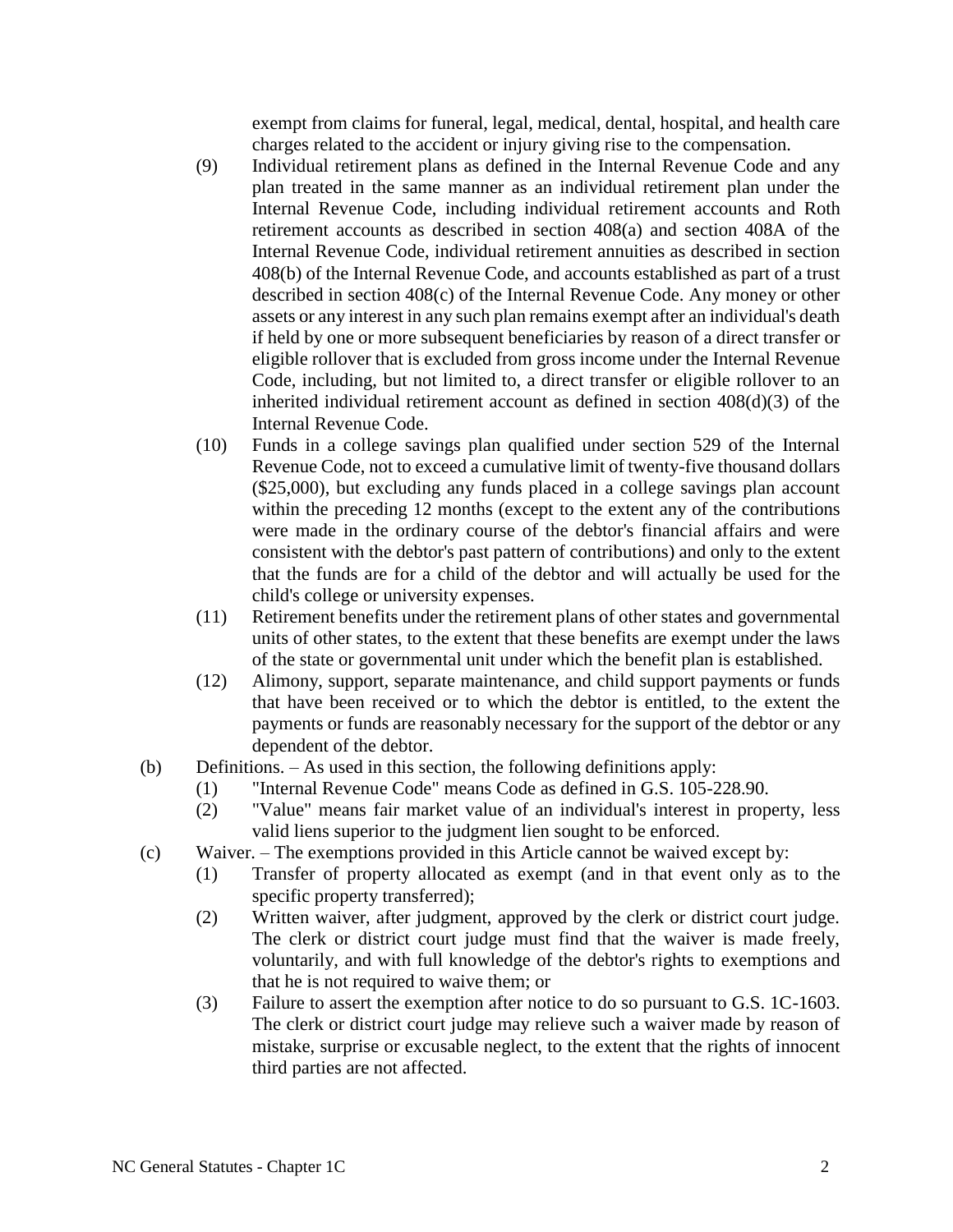exempt from claims for funeral, legal, medical, dental, hospital, and health care charges related to the accident or injury giving rise to the compensation.

- (9) Individual retirement plans as defined in the Internal Revenue Code and any plan treated in the same manner as an individual retirement plan under the Internal Revenue Code, including individual retirement accounts and Roth retirement accounts as described in section 408(a) and section 408A of the Internal Revenue Code, individual retirement annuities as described in section 408(b) of the Internal Revenue Code, and accounts established as part of a trust described in section 408(c) of the Internal Revenue Code. Any money or other assets or any interest in any such plan remains exempt after an individual's death if held by one or more subsequent beneficiaries by reason of a direct transfer or eligible rollover that is excluded from gross income under the Internal Revenue Code, including, but not limited to, a direct transfer or eligible rollover to an inherited individual retirement account as defined in section 408(d)(3) of the Internal Revenue Code.
- (10) Funds in a college savings plan qualified under section 529 of the Internal Revenue Code, not to exceed a cumulative limit of twenty-five thousand dollars (\$25,000), but excluding any funds placed in a college savings plan account within the preceding 12 months (except to the extent any of the contributions were made in the ordinary course of the debtor's financial affairs and were consistent with the debtor's past pattern of contributions) and only to the extent that the funds are for a child of the debtor and will actually be used for the child's college or university expenses.
- (11) Retirement benefits under the retirement plans of other states and governmental units of other states, to the extent that these benefits are exempt under the laws of the state or governmental unit under which the benefit plan is established.
- (12) Alimony, support, separate maintenance, and child support payments or funds that have been received or to which the debtor is entitled, to the extent the payments or funds are reasonably necessary for the support of the debtor or any dependent of the debtor.
- (b) Definitions. As used in this section, the following definitions apply:
	- (1) "Internal Revenue Code" means Code as defined in G.S. 105-228.90.
	- (2) "Value" means fair market value of an individual's interest in property, less valid liens superior to the judgment lien sought to be enforced.
- (c) Waiver. The exemptions provided in this Article cannot be waived except by:
	- (1) Transfer of property allocated as exempt (and in that event only as to the specific property transferred);
	- (2) Written waiver, after judgment, approved by the clerk or district court judge. The clerk or district court judge must find that the waiver is made freely, voluntarily, and with full knowledge of the debtor's rights to exemptions and that he is not required to waive them; or
	- (3) Failure to assert the exemption after notice to do so pursuant to G.S. 1C-1603. The clerk or district court judge may relieve such a waiver made by reason of mistake, surprise or excusable neglect, to the extent that the rights of innocent third parties are not affected.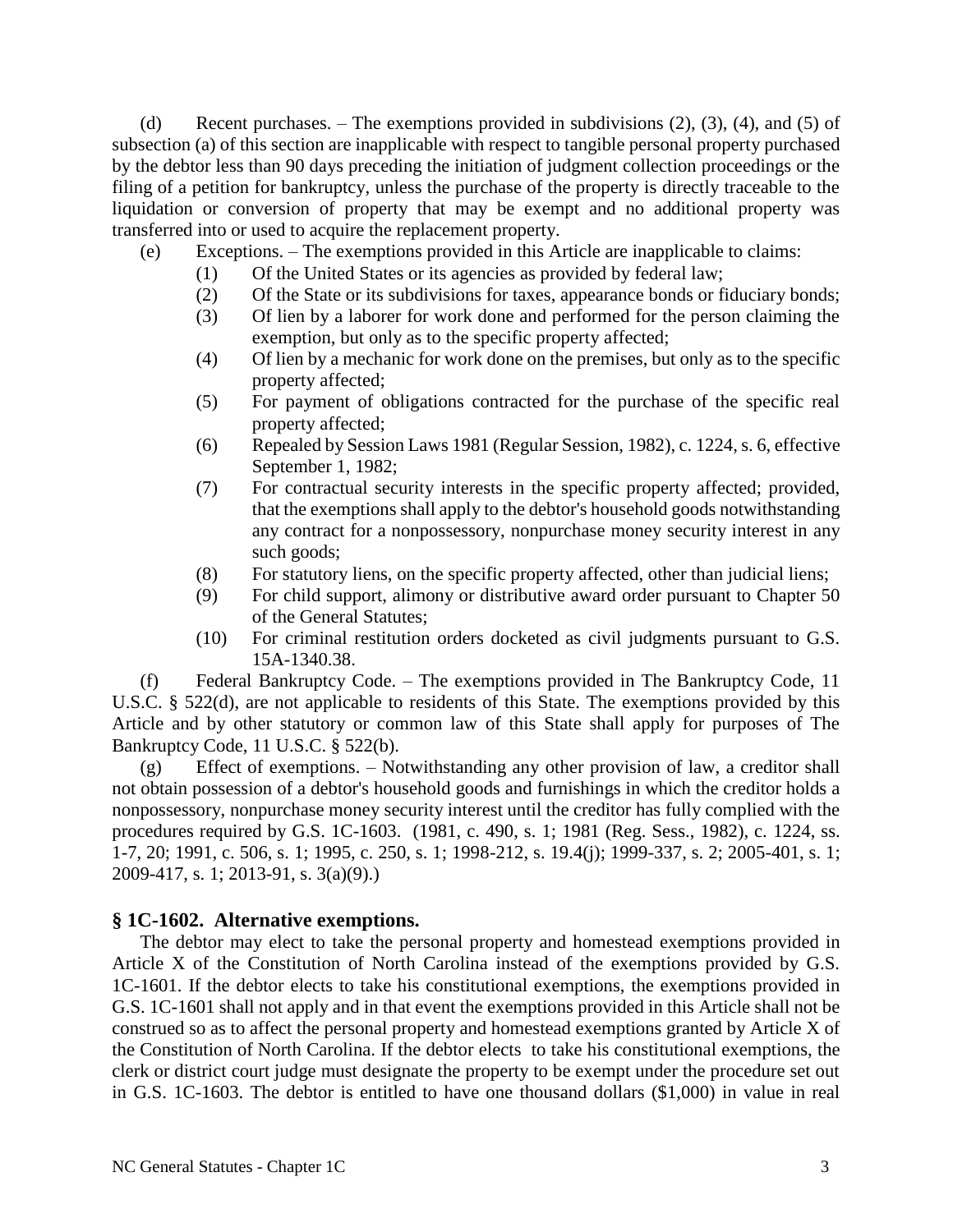(d) Recent purchases. – The exemptions provided in subdivisions (2), (3), (4), and (5) of subsection (a) of this section are inapplicable with respect to tangible personal property purchased by the debtor less than 90 days preceding the initiation of judgment collection proceedings or the filing of a petition for bankruptcy, unless the purchase of the property is directly traceable to the liquidation or conversion of property that may be exempt and no additional property was transferred into or used to acquire the replacement property.

- (e) Exceptions. The exemptions provided in this Article are inapplicable to claims:
	- (1) Of the United States or its agencies as provided by federal law;
	- (2) Of the State or its subdivisions for taxes, appearance bonds or fiduciary bonds;
	- (3) Of lien by a laborer for work done and performed for the person claiming the exemption, but only as to the specific property affected;
	- (4) Of lien by a mechanic for work done on the premises, but only as to the specific property affected;
	- (5) For payment of obligations contracted for the purchase of the specific real property affected;
	- (6) Repealed by Session Laws 1981 (Regular Session, 1982), c. 1224, s. 6, effective September 1, 1982;
	- (7) For contractual security interests in the specific property affected; provided, that the exemptions shall apply to the debtor's household goods notwithstanding any contract for a nonpossessory, nonpurchase money security interest in any such goods;
	- (8) For statutory liens, on the specific property affected, other than judicial liens;
	- (9) For child support, alimony or distributive award order pursuant to Chapter 50 of the General Statutes;
	- (10) For criminal restitution orders docketed as civil judgments pursuant to G.S. 15A-1340.38.

(f) Federal Bankruptcy Code. – The exemptions provided in The Bankruptcy Code, 11 U.S.C. § 522(d), are not applicable to residents of this State. The exemptions provided by this Article and by other statutory or common law of this State shall apply for purposes of The Bankruptcy Code, 11 U.S.C. § 522(b).

(g) Effect of exemptions. – Notwithstanding any other provision of law, a creditor shall not obtain possession of a debtor's household goods and furnishings in which the creditor holds a nonpossessory, nonpurchase money security interest until the creditor has fully complied with the procedures required by G.S. 1C-1603. (1981, c. 490, s. 1; 1981 (Reg. Sess., 1982), c. 1224, ss. 1-7, 20; 1991, c. 506, s. 1; 1995, c. 250, s. 1; 1998-212, s. 19.4(j); 1999-337, s. 2; 2005-401, s. 1; 2009-417, s. 1; 2013-91, s. 3(a)(9).)

### **§ 1C-1602. Alternative exemptions.**

The debtor may elect to take the personal property and homestead exemptions provided in Article X of the Constitution of North Carolina instead of the exemptions provided by G.S. 1C-1601. If the debtor elects to take his constitutional exemptions, the exemptions provided in G.S. 1C-1601 shall not apply and in that event the exemptions provided in this Article shall not be construed so as to affect the personal property and homestead exemptions granted by Article X of the Constitution of North Carolina. If the debtor elects to take his constitutional exemptions, the clerk or district court judge must designate the property to be exempt under the procedure set out in G.S. 1C-1603. The debtor is entitled to have one thousand dollars (\$1,000) in value in real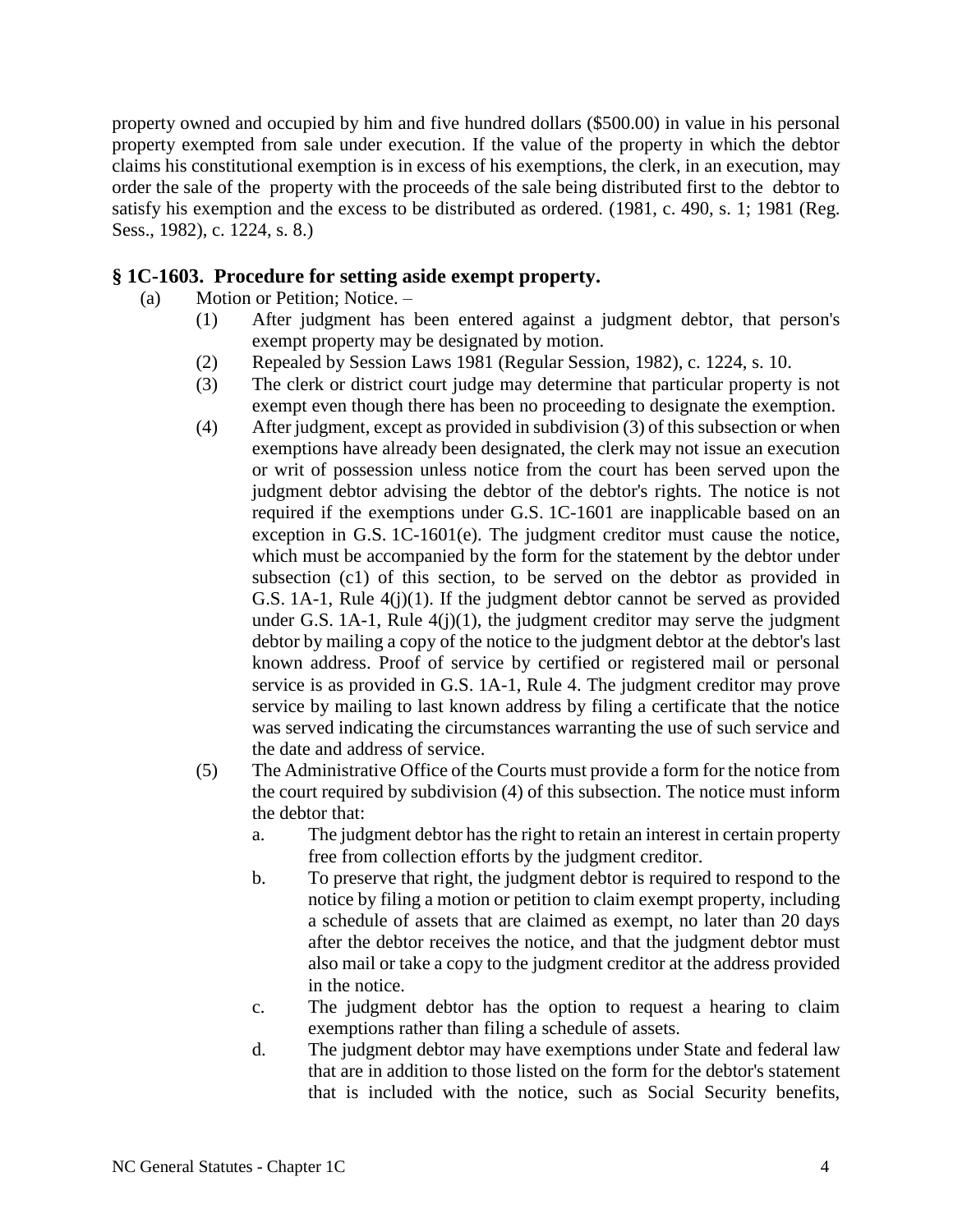property owned and occupied by him and five hundred dollars (\$500.00) in value in his personal property exempted from sale under execution. If the value of the property in which the debtor claims his constitutional exemption is in excess of his exemptions, the clerk, in an execution, may order the sale of the property with the proceeds of the sale being distributed first to the debtor to satisfy his exemption and the excess to be distributed as ordered. (1981, c. 490, s. 1; 1981 (Reg. Sess., 1982), c. 1224, s. 8.)

### **§ 1C-1603. Procedure for setting aside exempt property.**

- (a) Motion or Petition; Notice.
	- (1) After judgment has been entered against a judgment debtor, that person's exempt property may be designated by motion.
	- (2) Repealed by Session Laws 1981 (Regular Session, 1982), c. 1224, s. 10.
	- (3) The clerk or district court judge may determine that particular property is not exempt even though there has been no proceeding to designate the exemption.
	- (4) After judgment, except as provided in subdivision (3) of this subsection or when exemptions have already been designated, the clerk may not issue an execution or writ of possession unless notice from the court has been served upon the judgment debtor advising the debtor of the debtor's rights. The notice is not required if the exemptions under G.S. 1C-1601 are inapplicable based on an exception in G.S. 1C-1601(e). The judgment creditor must cause the notice, which must be accompanied by the form for the statement by the debtor under subsection (c1) of this section, to be served on the debtor as provided in G.S. 1A-1, Rule 4(j)(1). If the judgment debtor cannot be served as provided under G.S. 1A-1, Rule  $4(j)(1)$ , the judgment creditor may serve the judgment debtor by mailing a copy of the notice to the judgment debtor at the debtor's last known address. Proof of service by certified or registered mail or personal service is as provided in G.S. 1A-1, Rule 4. The judgment creditor may prove service by mailing to last known address by filing a certificate that the notice was served indicating the circumstances warranting the use of such service and the date and address of service.
	- (5) The Administrative Office of the Courts must provide a form for the notice from the court required by subdivision (4) of this subsection. The notice must inform the debtor that:
		- a. The judgment debtor has the right to retain an interest in certain property free from collection efforts by the judgment creditor.
		- b. To preserve that right, the judgment debtor is required to respond to the notice by filing a motion or petition to claim exempt property, including a schedule of assets that are claimed as exempt, no later than 20 days after the debtor receives the notice, and that the judgment debtor must also mail or take a copy to the judgment creditor at the address provided in the notice.
		- c. The judgment debtor has the option to request a hearing to claim exemptions rather than filing a schedule of assets.
		- d. The judgment debtor may have exemptions under State and federal law that are in addition to those listed on the form for the debtor's statement that is included with the notice, such as Social Security benefits,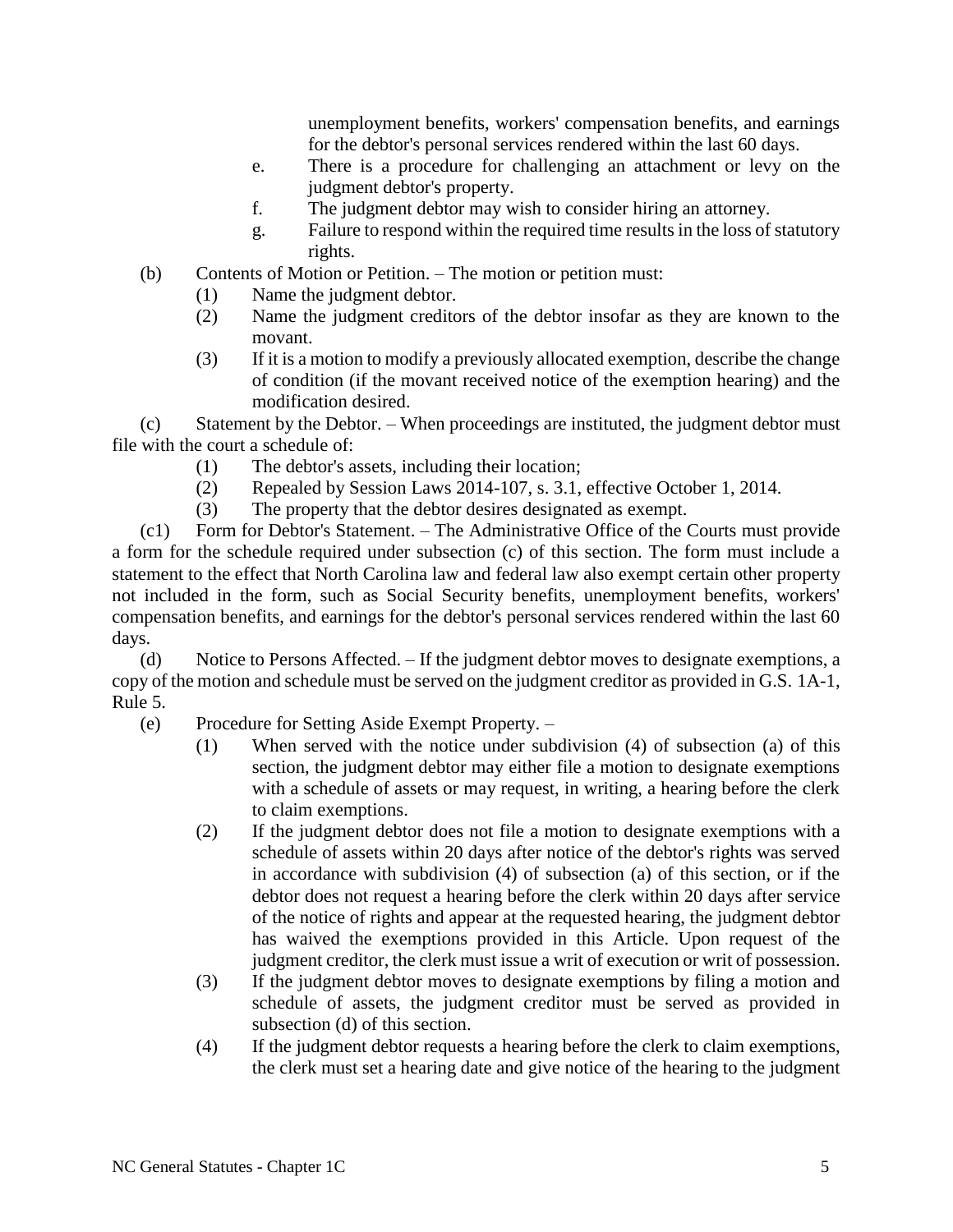unemployment benefits, workers' compensation benefits, and earnings for the debtor's personal services rendered within the last 60 days.

- e. There is a procedure for challenging an attachment or levy on the judgment debtor's property.
- f. The judgment debtor may wish to consider hiring an attorney.
- g. Failure to respond within the required time results in the loss of statutory rights.
- (b) Contents of Motion or Petition. The motion or petition must:
	- (1) Name the judgment debtor.
	- (2) Name the judgment creditors of the debtor insofar as they are known to the movant.
	- (3) If it is a motion to modify a previously allocated exemption, describe the change of condition (if the movant received notice of the exemption hearing) and the modification desired.

(c) Statement by the Debtor. – When proceedings are instituted, the judgment debtor must file with the court a schedule of:

- (1) The debtor's assets, including their location;
- (2) Repealed by Session Laws 2014-107, s. 3.1, effective October 1, 2014.
- (3) The property that the debtor desires designated as exempt.

(c1) Form for Debtor's Statement. – The Administrative Office of the Courts must provide a form for the schedule required under subsection (c) of this section. The form must include a statement to the effect that North Carolina law and federal law also exempt certain other property not included in the form, such as Social Security benefits, unemployment benefits, workers' compensation benefits, and earnings for the debtor's personal services rendered within the last 60 days.

(d) Notice to Persons Affected. – If the judgment debtor moves to designate exemptions, a copy of the motion and schedule must be served on the judgment creditor as provided in G.S. 1A-1, Rule 5.

- (e) Procedure for Setting Aside Exempt Property.
	- (1) When served with the notice under subdivision (4) of subsection (a) of this section, the judgment debtor may either file a motion to designate exemptions with a schedule of assets or may request, in writing, a hearing before the clerk to claim exemptions.
	- (2) If the judgment debtor does not file a motion to designate exemptions with a schedule of assets within 20 days after notice of the debtor's rights was served in accordance with subdivision (4) of subsection (a) of this section, or if the debtor does not request a hearing before the clerk within 20 days after service of the notice of rights and appear at the requested hearing, the judgment debtor has waived the exemptions provided in this Article. Upon request of the judgment creditor, the clerk must issue a writ of execution or writ of possession.
	- (3) If the judgment debtor moves to designate exemptions by filing a motion and schedule of assets, the judgment creditor must be served as provided in subsection (d) of this section.
	- (4) If the judgment debtor requests a hearing before the clerk to claim exemptions, the clerk must set a hearing date and give notice of the hearing to the judgment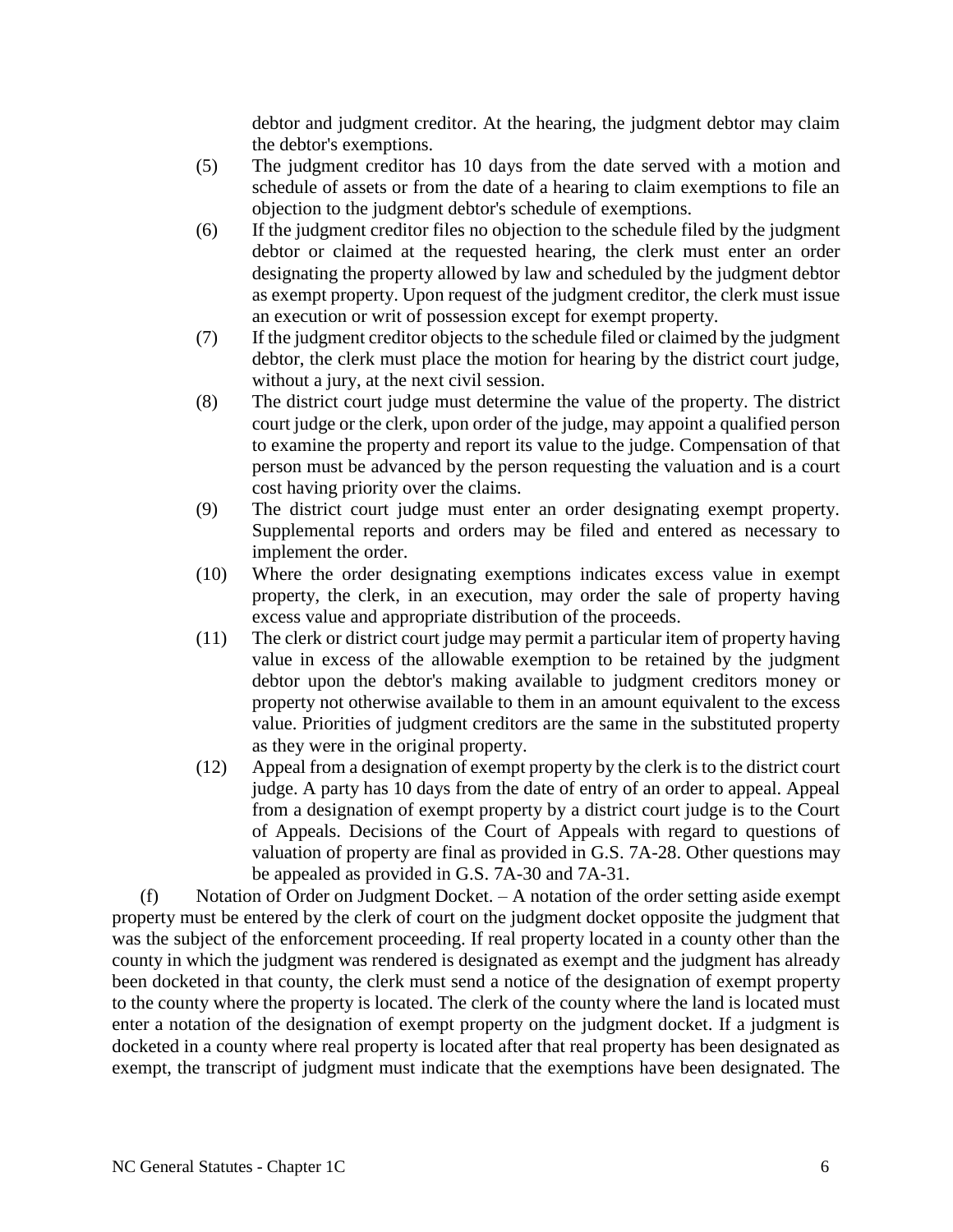debtor and judgment creditor. At the hearing, the judgment debtor may claim the debtor's exemptions.

- (5) The judgment creditor has 10 days from the date served with a motion and schedule of assets or from the date of a hearing to claim exemptions to file an objection to the judgment debtor's schedule of exemptions.
- (6) If the judgment creditor files no objection to the schedule filed by the judgment debtor or claimed at the requested hearing, the clerk must enter an order designating the property allowed by law and scheduled by the judgment debtor as exempt property. Upon request of the judgment creditor, the clerk must issue an execution or writ of possession except for exempt property.
- (7) If the judgment creditor objects to the schedule filed or claimed by the judgment debtor, the clerk must place the motion for hearing by the district court judge, without a jury, at the next civil session.
- (8) The district court judge must determine the value of the property. The district court judge or the clerk, upon order of the judge, may appoint a qualified person to examine the property and report its value to the judge. Compensation of that person must be advanced by the person requesting the valuation and is a court cost having priority over the claims.
- (9) The district court judge must enter an order designating exempt property. Supplemental reports and orders may be filed and entered as necessary to implement the order.
- (10) Where the order designating exemptions indicates excess value in exempt property, the clerk, in an execution, may order the sale of property having excess value and appropriate distribution of the proceeds.
- (11) The clerk or district court judge may permit a particular item of property having value in excess of the allowable exemption to be retained by the judgment debtor upon the debtor's making available to judgment creditors money or property not otherwise available to them in an amount equivalent to the excess value. Priorities of judgment creditors are the same in the substituted property as they were in the original property.
- (12) Appeal from a designation of exempt property by the clerk is to the district court judge. A party has 10 days from the date of entry of an order to appeal. Appeal from a designation of exempt property by a district court judge is to the Court of Appeals. Decisions of the Court of Appeals with regard to questions of valuation of property are final as provided in G.S. 7A-28. Other questions may be appealed as provided in G.S. 7A-30 and 7A-31.

(f) Notation of Order on Judgment Docket. – A notation of the order setting aside exempt property must be entered by the clerk of court on the judgment docket opposite the judgment that was the subject of the enforcement proceeding. If real property located in a county other than the county in which the judgment was rendered is designated as exempt and the judgment has already been docketed in that county, the clerk must send a notice of the designation of exempt property to the county where the property is located. The clerk of the county where the land is located must enter a notation of the designation of exempt property on the judgment docket. If a judgment is docketed in a county where real property is located after that real property has been designated as exempt, the transcript of judgment must indicate that the exemptions have been designated. The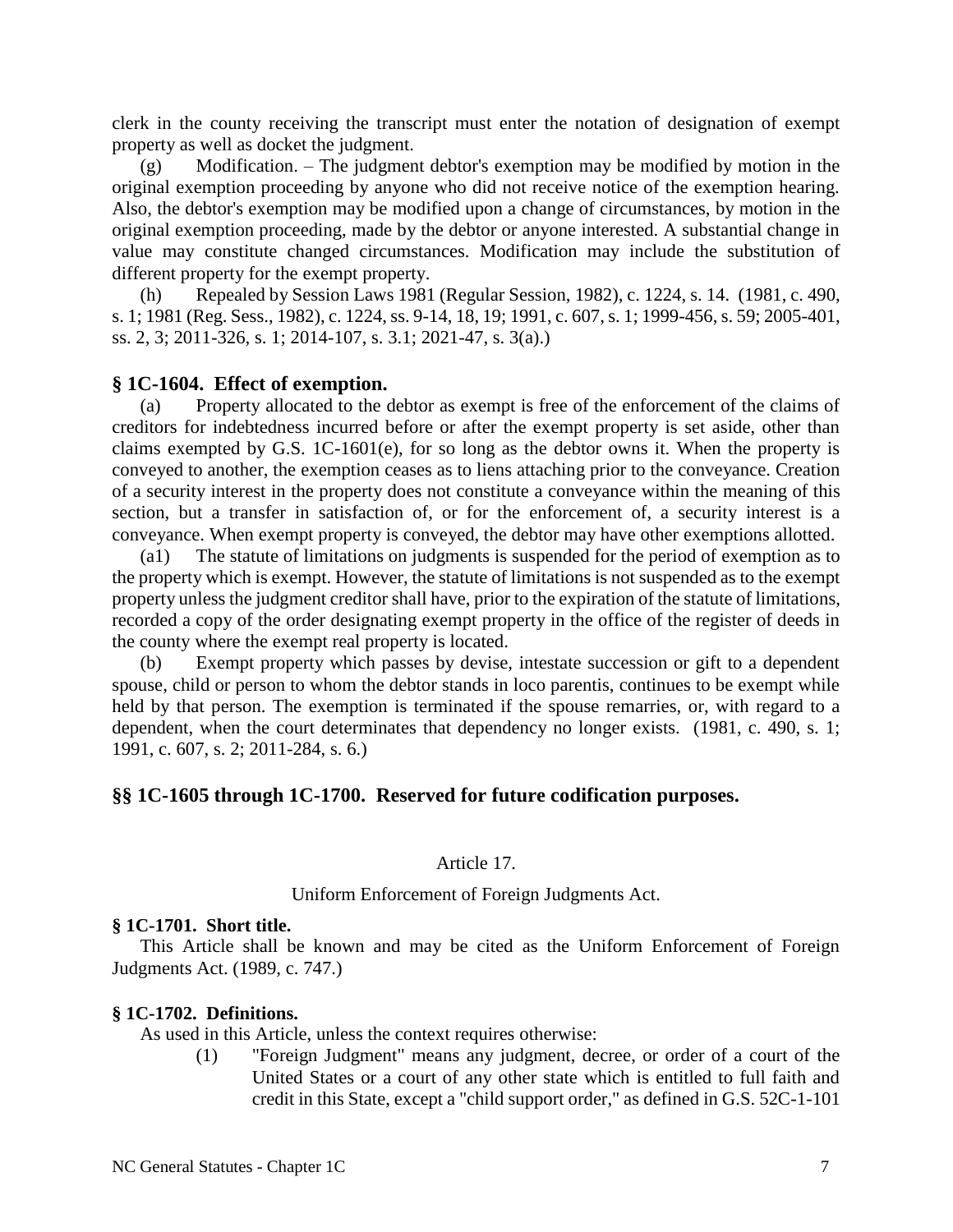clerk in the county receiving the transcript must enter the notation of designation of exempt property as well as docket the judgment.

(g) Modification. – The judgment debtor's exemption may be modified by motion in the original exemption proceeding by anyone who did not receive notice of the exemption hearing. Also, the debtor's exemption may be modified upon a change of circumstances, by motion in the original exemption proceeding, made by the debtor or anyone interested. A substantial change in value may constitute changed circumstances. Modification may include the substitution of different property for the exempt property.

(h) Repealed by Session Laws 1981 (Regular Session, 1982), c. 1224, s. 14. (1981, c. 490, s. 1; 1981 (Reg. Sess., 1982), c. 1224, ss. 9-14, 18, 19; 1991, c. 607, s. 1; 1999-456, s. 59; 2005-401, ss. 2, 3; 2011-326, s. 1; 2014-107, s. 3.1; 2021-47, s. 3(a).)

#### **§ 1C-1604. Effect of exemption.**

(a) Property allocated to the debtor as exempt is free of the enforcement of the claims of creditors for indebtedness incurred before or after the exempt property is set aside, other than claims exempted by G.S. 1C-1601(e), for so long as the debtor owns it. When the property is conveyed to another, the exemption ceases as to liens attaching prior to the conveyance. Creation of a security interest in the property does not constitute a conveyance within the meaning of this section, but a transfer in satisfaction of, or for the enforcement of, a security interest is a conveyance. When exempt property is conveyed, the debtor may have other exemptions allotted.

(a1) The statute of limitations on judgments is suspended for the period of exemption as to the property which is exempt. However, the statute of limitations is not suspended as to the exempt property unless the judgment creditor shall have, prior to the expiration of the statute of limitations, recorded a copy of the order designating exempt property in the office of the register of deeds in the county where the exempt real property is located.

(b) Exempt property which passes by devise, intestate succession or gift to a dependent spouse, child or person to whom the debtor stands in loco parentis, continues to be exempt while held by that person. The exemption is terminated if the spouse remarries, or, with regard to a dependent, when the court determinates that dependency no longer exists. (1981, c. 490, s. 1; 1991, c. 607, s. 2; 2011-284, s. 6.)

### **§§ 1C-1605 through 1C-1700. Reserved for future codification purposes.**

#### Article 17.

Uniform Enforcement of Foreign Judgments Act.

#### **§ 1C-1701. Short title.**

This Article shall be known and may be cited as the Uniform Enforcement of Foreign Judgments Act. (1989, c. 747.)

### **§ 1C-1702. Definitions.**

As used in this Article, unless the context requires otherwise:

(1) "Foreign Judgment" means any judgment, decree, or order of a court of the United States or a court of any other state which is entitled to full faith and credit in this State, except a "child support order," as defined in G.S. 52C-1-101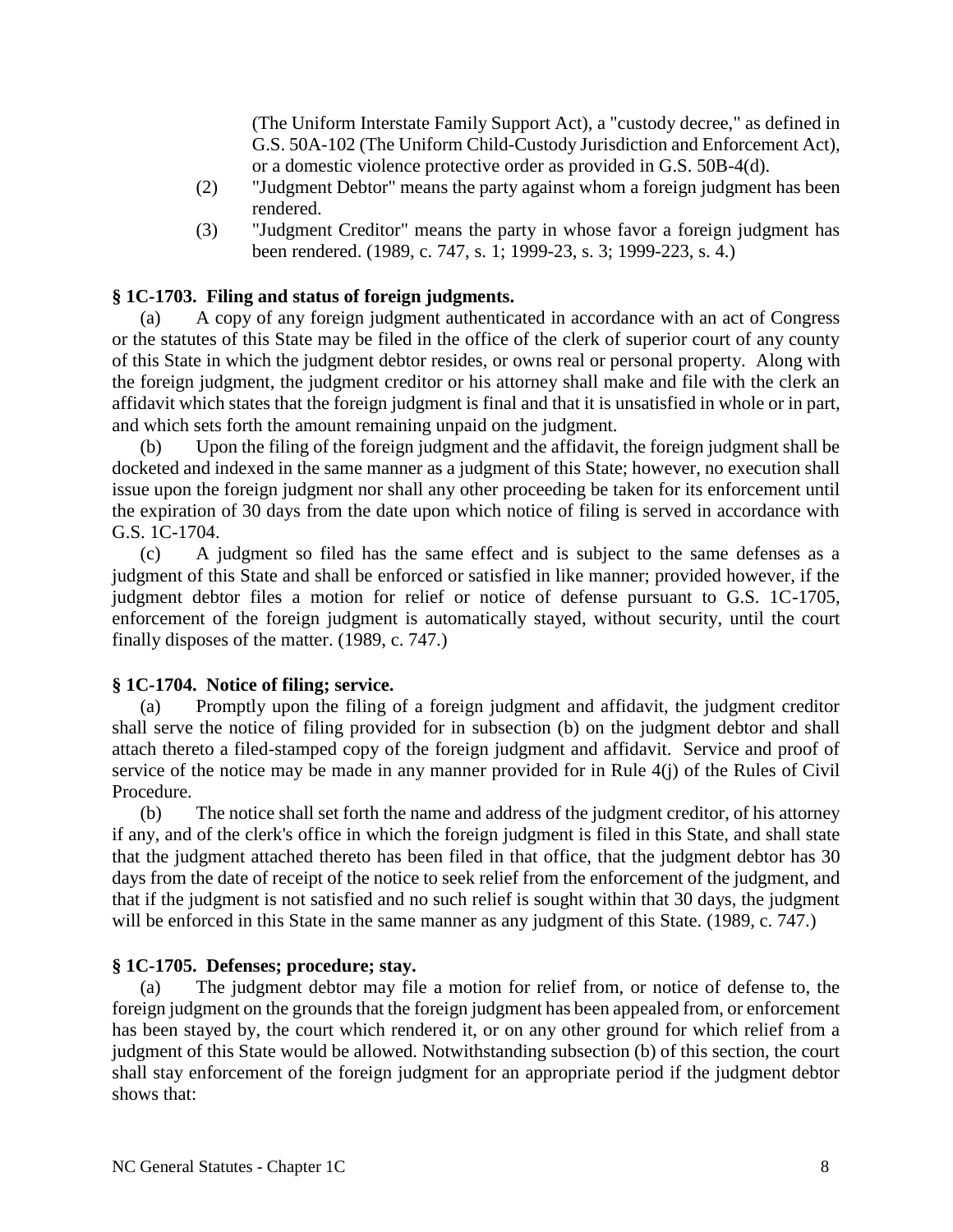(The Uniform Interstate Family Support Act), a "custody decree," as defined in G.S. 50A-102 (The Uniform Child-Custody Jurisdiction and Enforcement Act), or a domestic violence protective order as provided in G.S. 50B-4(d).

- (2) "Judgment Debtor" means the party against whom a foreign judgment has been rendered.
- (3) "Judgment Creditor" means the party in whose favor a foreign judgment has been rendered. (1989, c. 747, s. 1; 1999-23, s. 3; 1999-223, s. 4.)

### **§ 1C-1703. Filing and status of foreign judgments.**

(a) A copy of any foreign judgment authenticated in accordance with an act of Congress or the statutes of this State may be filed in the office of the clerk of superior court of any county of this State in which the judgment debtor resides, or owns real or personal property. Along with the foreign judgment, the judgment creditor or his attorney shall make and file with the clerk an affidavit which states that the foreign judgment is final and that it is unsatisfied in whole or in part, and which sets forth the amount remaining unpaid on the judgment.

(b) Upon the filing of the foreign judgment and the affidavit, the foreign judgment shall be docketed and indexed in the same manner as a judgment of this State; however, no execution shall issue upon the foreign judgment nor shall any other proceeding be taken for its enforcement until the expiration of 30 days from the date upon which notice of filing is served in accordance with G.S. 1C-1704.

(c) A judgment so filed has the same effect and is subject to the same defenses as a judgment of this State and shall be enforced or satisfied in like manner; provided however, if the judgment debtor files a motion for relief or notice of defense pursuant to G.S. 1C-1705, enforcement of the foreign judgment is automatically stayed, without security, until the court finally disposes of the matter. (1989, c. 747.)

### **§ 1C-1704. Notice of filing; service.**

(a) Promptly upon the filing of a foreign judgment and affidavit, the judgment creditor shall serve the notice of filing provided for in subsection (b) on the judgment debtor and shall attach thereto a filed-stamped copy of the foreign judgment and affidavit. Service and proof of service of the notice may be made in any manner provided for in Rule 4(j) of the Rules of Civil Procedure.

(b) The notice shall set forth the name and address of the judgment creditor, of his attorney if any, and of the clerk's office in which the foreign judgment is filed in this State, and shall state that the judgment attached thereto has been filed in that office, that the judgment debtor has 30 days from the date of receipt of the notice to seek relief from the enforcement of the judgment, and that if the judgment is not satisfied and no such relief is sought within that 30 days, the judgment will be enforced in this State in the same manner as any judgment of this State. (1989, c. 747.)

### **§ 1C-1705. Defenses; procedure; stay.**

(a) The judgment debtor may file a motion for relief from, or notice of defense to, the foreign judgment on the grounds that the foreign judgment has been appealed from, or enforcement has been stayed by, the court which rendered it, or on any other ground for which relief from a judgment of this State would be allowed. Notwithstanding subsection (b) of this section, the court shall stay enforcement of the foreign judgment for an appropriate period if the judgment debtor shows that: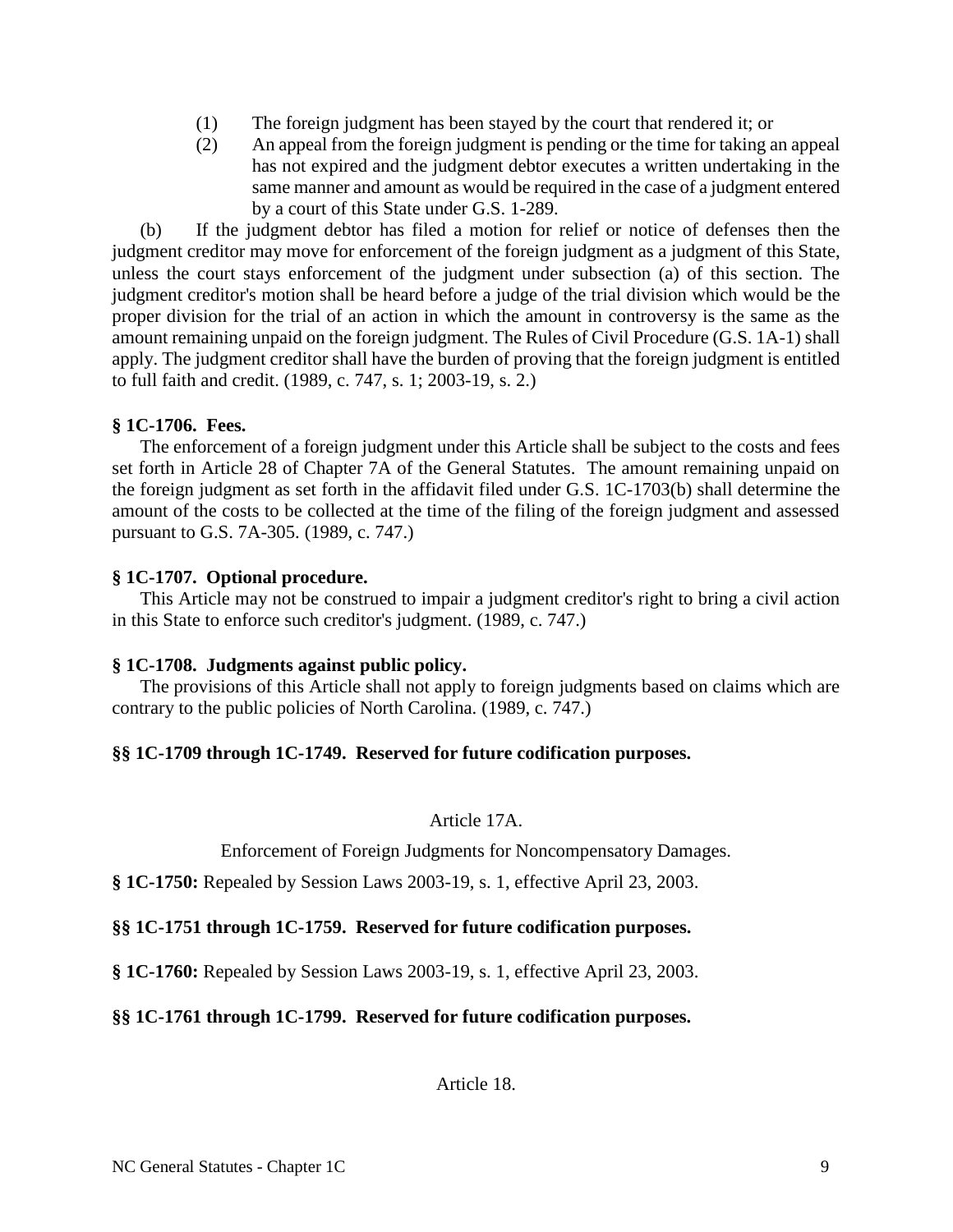- (1) The foreign judgment has been stayed by the court that rendered it; or
- (2) An appeal from the foreign judgment is pending or the time for taking an appeal has not expired and the judgment debtor executes a written undertaking in the same manner and amount as would be required in the case of a judgment entered by a court of this State under G.S. 1-289.

(b) If the judgment debtor has filed a motion for relief or notice of defenses then the judgment creditor may move for enforcement of the foreign judgment as a judgment of this State, unless the court stays enforcement of the judgment under subsection (a) of this section. The judgment creditor's motion shall be heard before a judge of the trial division which would be the proper division for the trial of an action in which the amount in controversy is the same as the amount remaining unpaid on the foreign judgment. The Rules of Civil Procedure (G.S. 1A-1) shall apply. The judgment creditor shall have the burden of proving that the foreign judgment is entitled to full faith and credit. (1989, c. 747, s. 1; 2003-19, s. 2.)

### **§ 1C-1706. Fees.**

The enforcement of a foreign judgment under this Article shall be subject to the costs and fees set forth in Article 28 of Chapter 7A of the General Statutes. The amount remaining unpaid on the foreign judgment as set forth in the affidavit filed under G.S. 1C-1703(b) shall determine the amount of the costs to be collected at the time of the filing of the foreign judgment and assessed pursuant to G.S. 7A-305. (1989, c. 747.)

### **§ 1C-1707. Optional procedure.**

This Article may not be construed to impair a judgment creditor's right to bring a civil action in this State to enforce such creditor's judgment. (1989, c. 747.)

## **§ 1C-1708. Judgments against public policy.**

The provisions of this Article shall not apply to foreign judgments based on claims which are contrary to the public policies of North Carolina. (1989, c. 747.)

## **§§ 1C-1709 through 1C-1749. Reserved for future codification purposes.**

Article 17A.

Enforcement of Foreign Judgments for Noncompensatory Damages.

**§ 1C-1750:** Repealed by Session Laws 2003-19, s. 1, effective April 23, 2003.

## **§§ 1C-1751 through 1C-1759. Reserved for future codification purposes.**

**§ 1C-1760:** Repealed by Session Laws 2003-19, s. 1, effective April 23, 2003.

## **§§ 1C-1761 through 1C-1799. Reserved for future codification purposes.**

Article 18.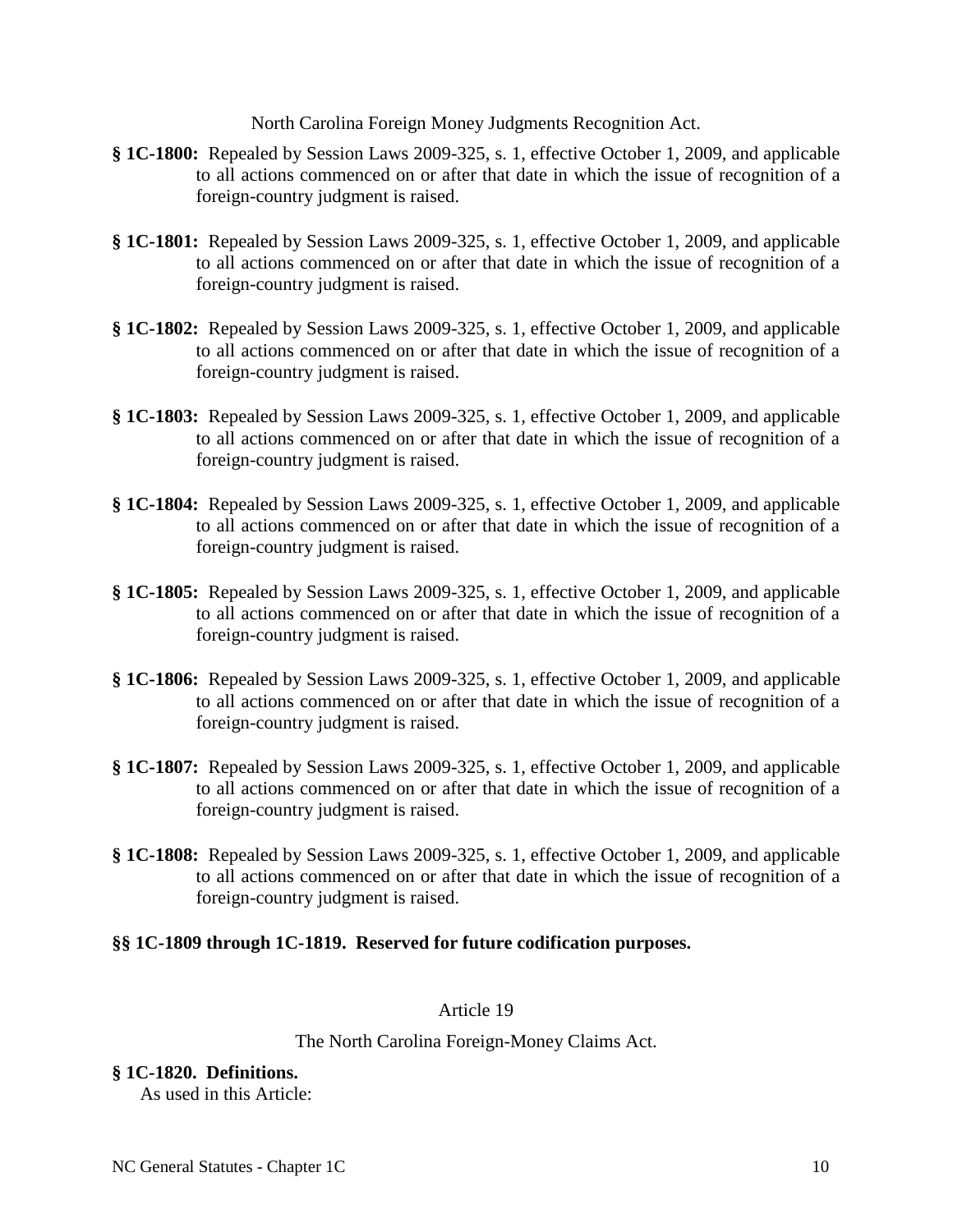North Carolina Foreign Money Judgments Recognition Act.

- **§ 1C-1800:** Repealed by Session Laws 2009-325, s. 1, effective October 1, 2009, and applicable to all actions commenced on or after that date in which the issue of recognition of a foreign-country judgment is raised.
- **§ 1C-1801:** Repealed by Session Laws 2009-325, s. 1, effective October 1, 2009, and applicable to all actions commenced on or after that date in which the issue of recognition of a foreign-country judgment is raised.
- **§ 1C-1802:** Repealed by Session Laws 2009-325, s. 1, effective October 1, 2009, and applicable to all actions commenced on or after that date in which the issue of recognition of a foreign-country judgment is raised.
- **§ 1C-1803:** Repealed by Session Laws 2009-325, s. 1, effective October 1, 2009, and applicable to all actions commenced on or after that date in which the issue of recognition of a foreign-country judgment is raised.
- **§ 1C-1804:** Repealed by Session Laws 2009-325, s. 1, effective October 1, 2009, and applicable to all actions commenced on or after that date in which the issue of recognition of a foreign-country judgment is raised.
- **§ 1C-1805:** Repealed by Session Laws 2009-325, s. 1, effective October 1, 2009, and applicable to all actions commenced on or after that date in which the issue of recognition of a foreign-country judgment is raised.
- **§ 1C-1806:** Repealed by Session Laws 2009-325, s. 1, effective October 1, 2009, and applicable to all actions commenced on or after that date in which the issue of recognition of a foreign-country judgment is raised.
- **§ 1C-1807:** Repealed by Session Laws 2009-325, s. 1, effective October 1, 2009, and applicable to all actions commenced on or after that date in which the issue of recognition of a foreign-country judgment is raised.
- **§ 1C-1808:** Repealed by Session Laws 2009-325, s. 1, effective October 1, 2009, and applicable to all actions commenced on or after that date in which the issue of recognition of a foreign-country judgment is raised.

### **§§ 1C-1809 through 1C-1819. Reserved for future codification purposes.**

### Article 19

### The North Carolina Foreign-Money Claims Act.

### **§ 1C-1820. Definitions.**

As used in this Article: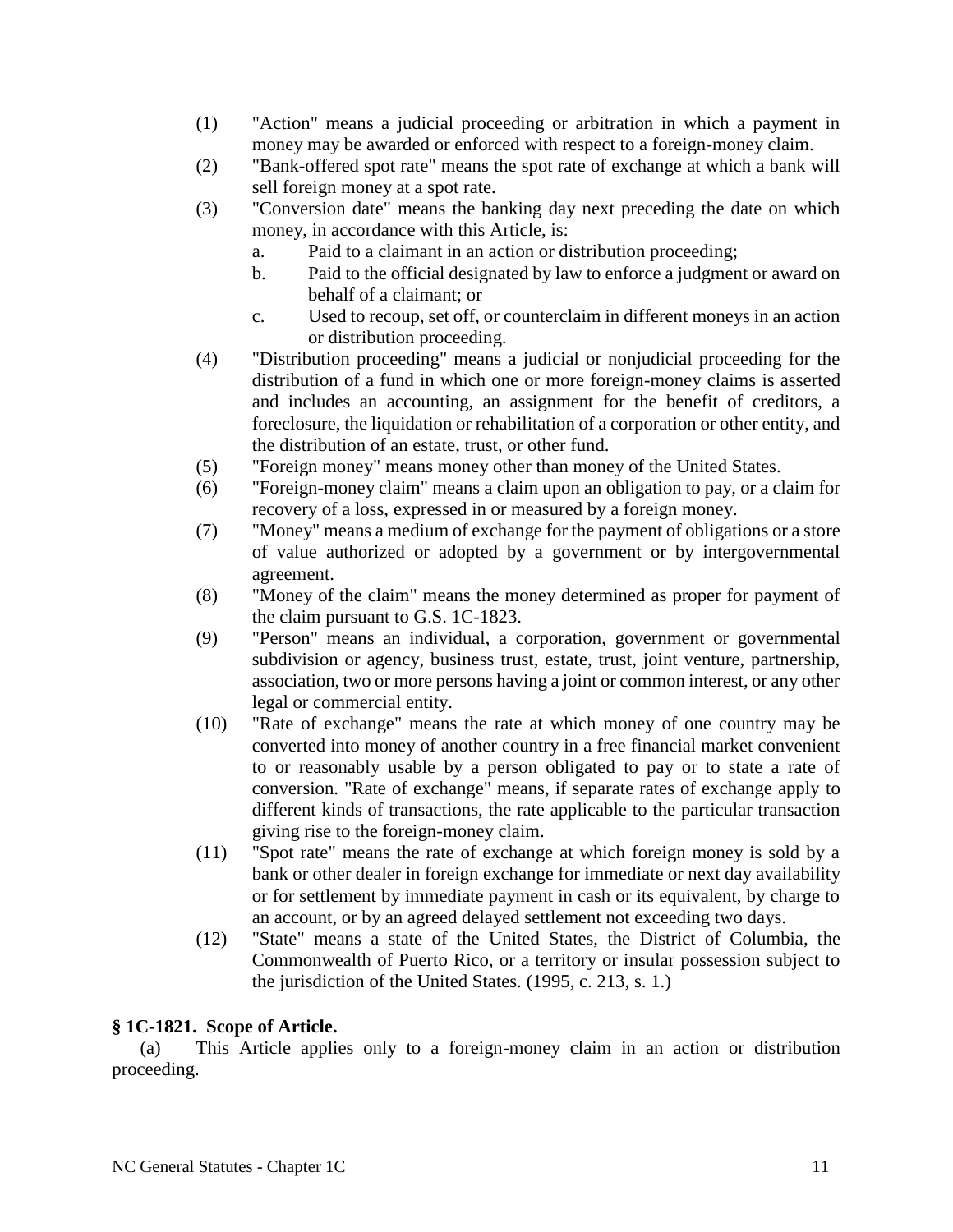- (1) "Action" means a judicial proceeding or arbitration in which a payment in money may be awarded or enforced with respect to a foreign-money claim.
- (2) "Bank-offered spot rate" means the spot rate of exchange at which a bank will sell foreign money at a spot rate.
- (3) "Conversion date" means the banking day next preceding the date on which money, in accordance with this Article, is:
	- a. Paid to a claimant in an action or distribution proceeding;
	- b. Paid to the official designated by law to enforce a judgment or award on behalf of a claimant; or
	- c. Used to recoup, set off, or counterclaim in different moneys in an action or distribution proceeding.
- (4) "Distribution proceeding" means a judicial or nonjudicial proceeding for the distribution of a fund in which one or more foreign-money claims is asserted and includes an accounting, an assignment for the benefit of creditors, a foreclosure, the liquidation or rehabilitation of a corporation or other entity, and the distribution of an estate, trust, or other fund.
- (5) "Foreign money" means money other than money of the United States.
- (6) "Foreign-money claim" means a claim upon an obligation to pay, or a claim for recovery of a loss, expressed in or measured by a foreign money.
- (7) "Money" means a medium of exchange for the payment of obligations or a store of value authorized or adopted by a government or by intergovernmental agreement.
- (8) "Money of the claim" means the money determined as proper for payment of the claim pursuant to G.S. 1C-1823.
- (9) "Person" means an individual, a corporation, government or governmental subdivision or agency, business trust, estate, trust, joint venture, partnership, association, two or more persons having a joint or common interest, or any other legal or commercial entity.
- (10) "Rate of exchange" means the rate at which money of one country may be converted into money of another country in a free financial market convenient to or reasonably usable by a person obligated to pay or to state a rate of conversion. "Rate of exchange" means, if separate rates of exchange apply to different kinds of transactions, the rate applicable to the particular transaction giving rise to the foreign-money claim.
- (11) "Spot rate" means the rate of exchange at which foreign money is sold by a bank or other dealer in foreign exchange for immediate or next day availability or for settlement by immediate payment in cash or its equivalent, by charge to an account, or by an agreed delayed settlement not exceeding two days.
- (12) "State" means a state of the United States, the District of Columbia, the Commonwealth of Puerto Rico, or a territory or insular possession subject to the jurisdiction of the United States. (1995, c. 213, s. 1.)

## **§ 1C-1821. Scope of Article.**

(a) This Article applies only to a foreign-money claim in an action or distribution proceeding.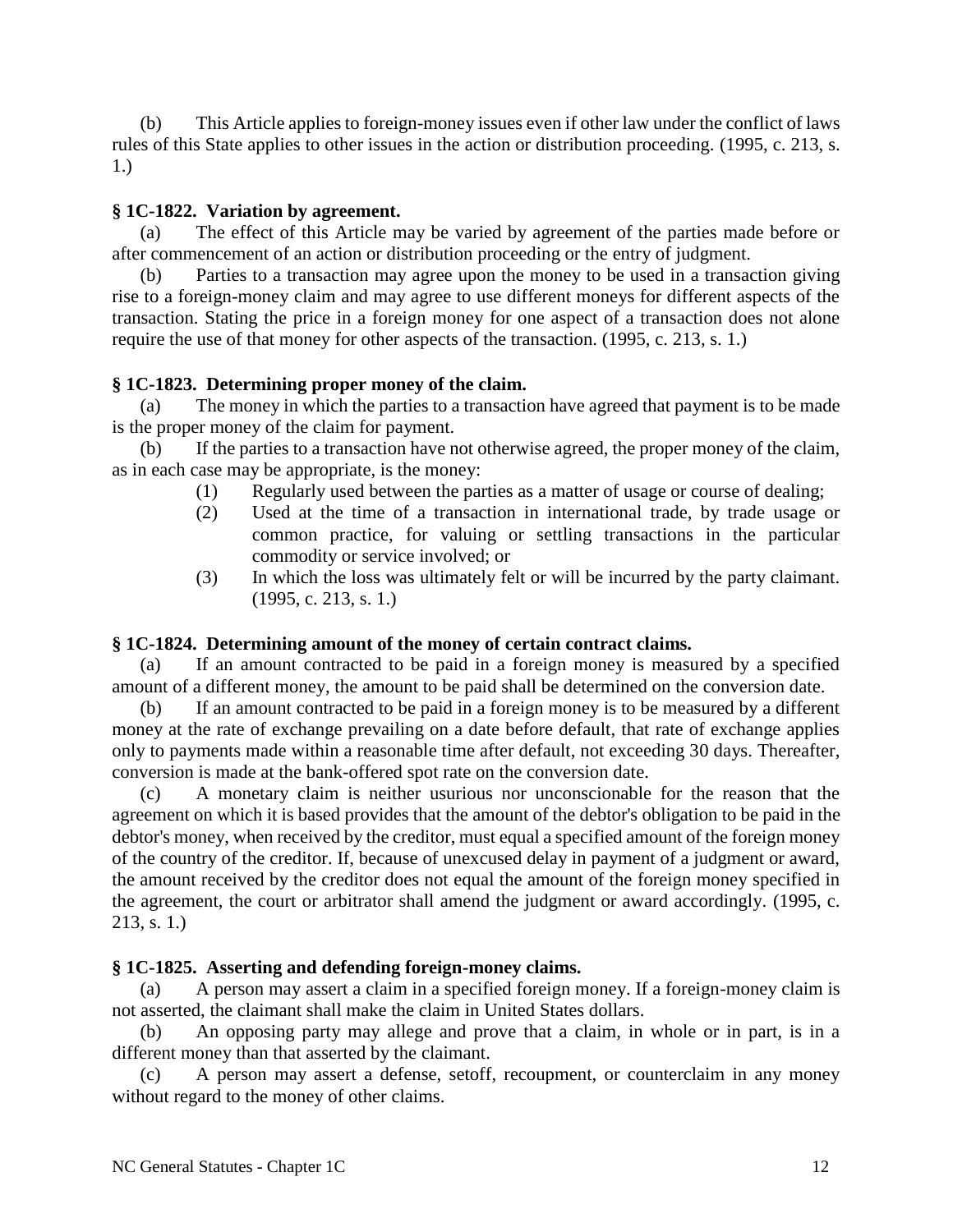(b) This Article applies to foreign-money issues even if other law under the conflict of laws rules of this State applies to other issues in the action or distribution proceeding. (1995, c. 213, s. 1.)

### **§ 1C-1822. Variation by agreement.**

(a) The effect of this Article may be varied by agreement of the parties made before or after commencement of an action or distribution proceeding or the entry of judgment.

(b) Parties to a transaction may agree upon the money to be used in a transaction giving rise to a foreign-money claim and may agree to use different moneys for different aspects of the transaction. Stating the price in a foreign money for one aspect of a transaction does not alone require the use of that money for other aspects of the transaction. (1995, c. 213, s. 1.)

### **§ 1C-1823. Determining proper money of the claim.**

(a) The money in which the parties to a transaction have agreed that payment is to be made is the proper money of the claim for payment.

(b) If the parties to a transaction have not otherwise agreed, the proper money of the claim, as in each case may be appropriate, is the money:

- (1) Regularly used between the parties as a matter of usage or course of dealing;
- (2) Used at the time of a transaction in international trade, by trade usage or common practice, for valuing or settling transactions in the particular commodity or service involved; or
- (3) In which the loss was ultimately felt or will be incurred by the party claimant. (1995, c. 213, s. 1.)

### **§ 1C-1824. Determining amount of the money of certain contract claims.**

(a) If an amount contracted to be paid in a foreign money is measured by a specified amount of a different money, the amount to be paid shall be determined on the conversion date.

(b) If an amount contracted to be paid in a foreign money is to be measured by a different money at the rate of exchange prevailing on a date before default, that rate of exchange applies only to payments made within a reasonable time after default, not exceeding 30 days. Thereafter, conversion is made at the bank-offered spot rate on the conversion date.

(c) A monetary claim is neither usurious nor unconscionable for the reason that the agreement on which it is based provides that the amount of the debtor's obligation to be paid in the debtor's money, when received by the creditor, must equal a specified amount of the foreign money of the country of the creditor. If, because of unexcused delay in payment of a judgment or award, the amount received by the creditor does not equal the amount of the foreign money specified in the agreement, the court or arbitrator shall amend the judgment or award accordingly. (1995, c. 213, s. 1.)

### **§ 1C-1825. Asserting and defending foreign-money claims.**

(a) A person may assert a claim in a specified foreign money. If a foreign-money claim is not asserted, the claimant shall make the claim in United States dollars.

(b) An opposing party may allege and prove that a claim, in whole or in part, is in a different money than that asserted by the claimant.

(c) A person may assert a defense, setoff, recoupment, or counterclaim in any money without regard to the money of other claims.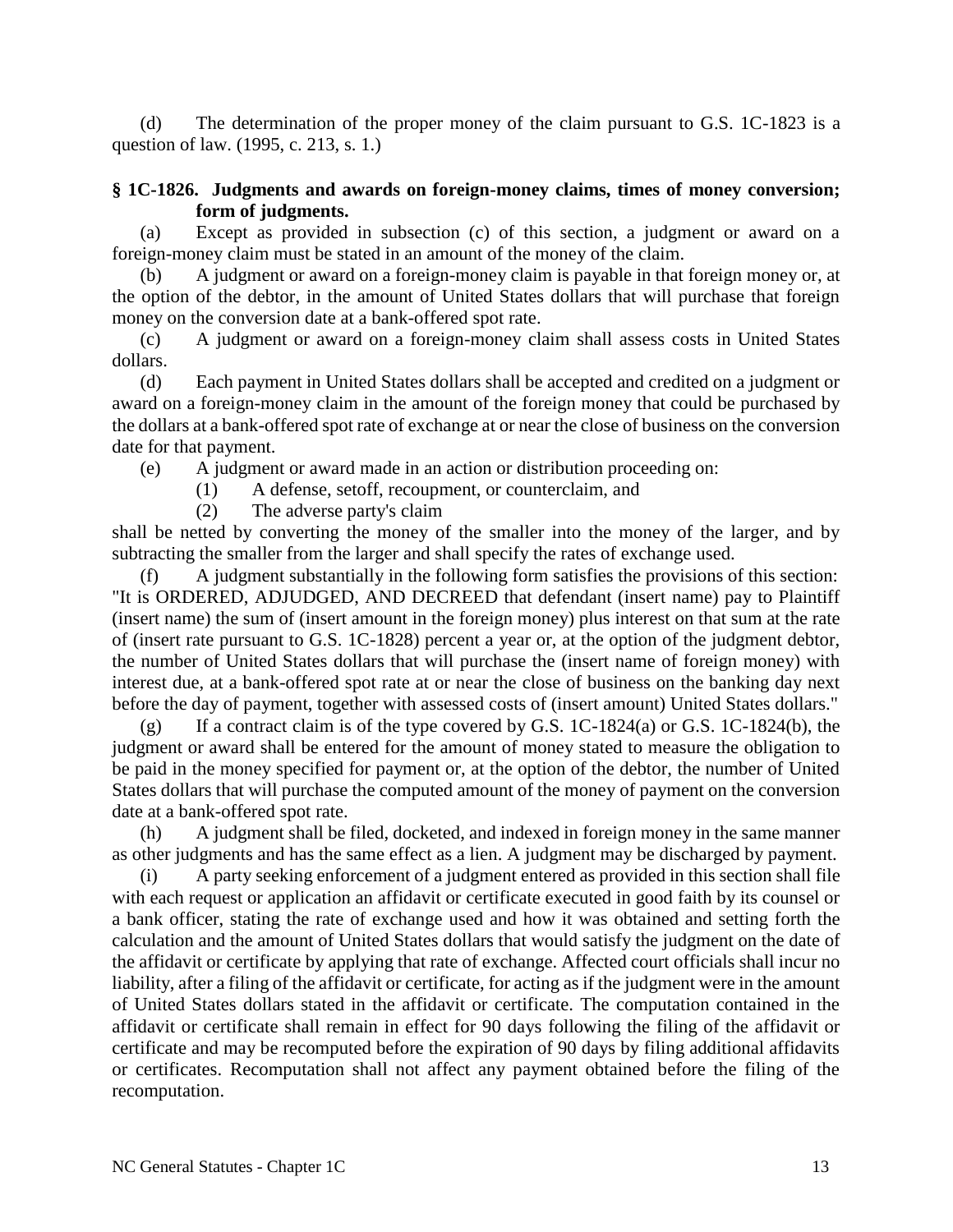(d) The determination of the proper money of the claim pursuant to G.S. 1C-1823 is a question of law. (1995, c. 213, s. 1.)

### **§ 1C-1826. Judgments and awards on foreign-money claims, times of money conversion; form of judgments.**

(a) Except as provided in subsection (c) of this section, a judgment or award on a foreign-money claim must be stated in an amount of the money of the claim.

(b) A judgment or award on a foreign-money claim is payable in that foreign money or, at the option of the debtor, in the amount of United States dollars that will purchase that foreign money on the conversion date at a bank-offered spot rate.

(c) A judgment or award on a foreign-money claim shall assess costs in United States dollars.

(d) Each payment in United States dollars shall be accepted and credited on a judgment or award on a foreign-money claim in the amount of the foreign money that could be purchased by the dollars at a bank-offered spot rate of exchange at or near the close of business on the conversion date for that payment.

(e) A judgment or award made in an action or distribution proceeding on:

(1) A defense, setoff, recoupment, or counterclaim, and

(2) The adverse party's claim

shall be netted by converting the money of the smaller into the money of the larger, and by subtracting the smaller from the larger and shall specify the rates of exchange used.

(f) A judgment substantially in the following form satisfies the provisions of this section: "It is ORDERED, ADJUDGED, AND DECREED that defendant (insert name) pay to Plaintiff (insert name) the sum of (insert amount in the foreign money) plus interest on that sum at the rate of (insert rate pursuant to G.S. 1C-1828) percent a year or, at the option of the judgment debtor, the number of United States dollars that will purchase the (insert name of foreign money) with interest due, at a bank-offered spot rate at or near the close of business on the banking day next before the day of payment, together with assessed costs of (insert amount) United States dollars."

 $(g)$  If a contract claim is of the type covered by G.S. 1C-1824(a) or G.S. 1C-1824(b), the judgment or award shall be entered for the amount of money stated to measure the obligation to be paid in the money specified for payment or, at the option of the debtor, the number of United States dollars that will purchase the computed amount of the money of payment on the conversion date at a bank-offered spot rate.

(h) A judgment shall be filed, docketed, and indexed in foreign money in the same manner as other judgments and has the same effect as a lien. A judgment may be discharged by payment.

(i) A party seeking enforcement of a judgment entered as provided in this section shall file with each request or application an affidavit or certificate executed in good faith by its counsel or a bank officer, stating the rate of exchange used and how it was obtained and setting forth the calculation and the amount of United States dollars that would satisfy the judgment on the date of the affidavit or certificate by applying that rate of exchange. Affected court officials shall incur no liability, after a filing of the affidavit or certificate, for acting as if the judgment were in the amount of United States dollars stated in the affidavit or certificate. The computation contained in the affidavit or certificate shall remain in effect for 90 days following the filing of the affidavit or certificate and may be recomputed before the expiration of 90 days by filing additional affidavits or certificates. Recomputation shall not affect any payment obtained before the filing of the recomputation.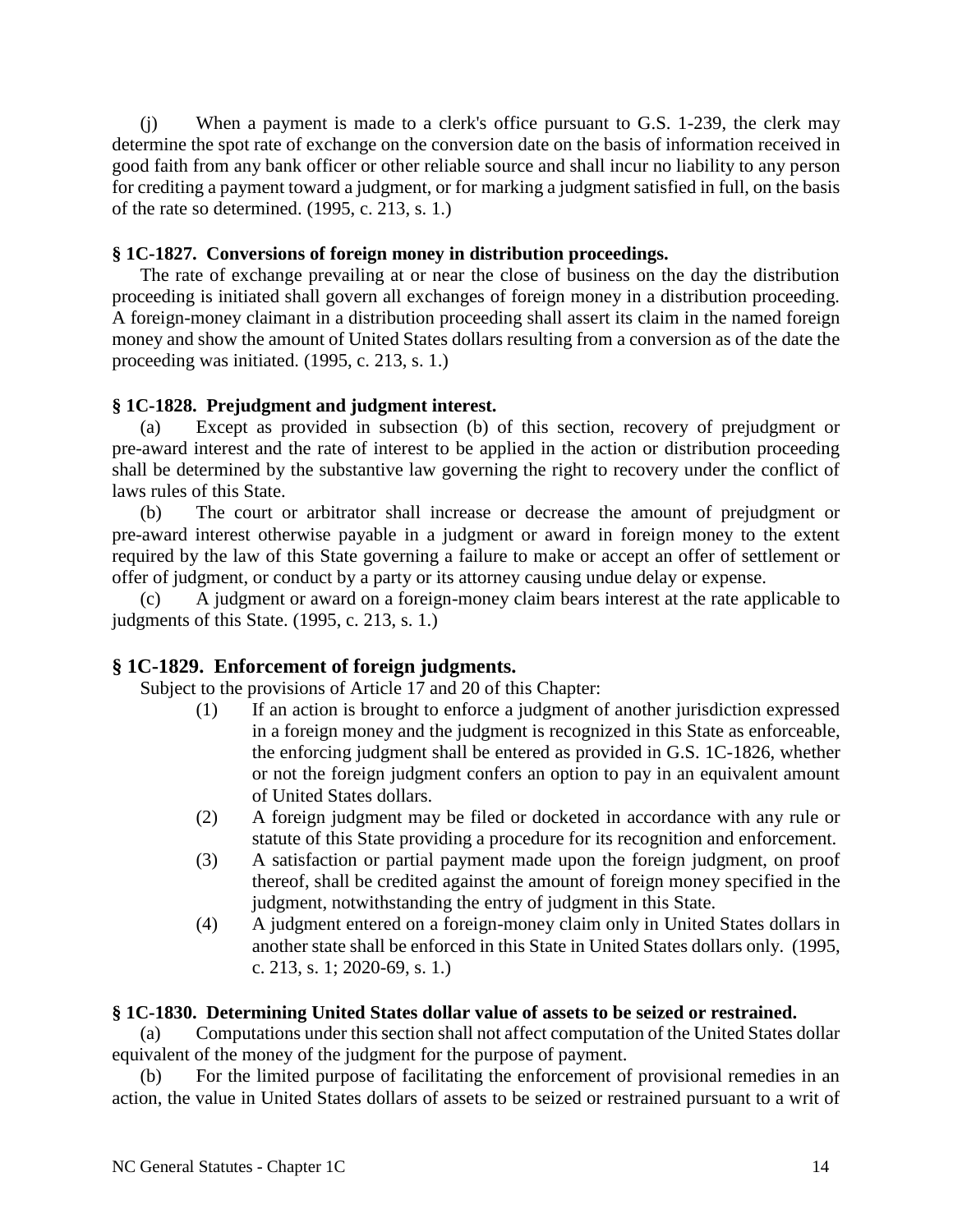(j) When a payment is made to a clerk's office pursuant to G.S. 1-239, the clerk may determine the spot rate of exchange on the conversion date on the basis of information received in good faith from any bank officer or other reliable source and shall incur no liability to any person for crediting a payment toward a judgment, or for marking a judgment satisfied in full, on the basis of the rate so determined. (1995, c. 213, s. 1.)

## **§ 1C-1827. Conversions of foreign money in distribution proceedings.**

The rate of exchange prevailing at or near the close of business on the day the distribution proceeding is initiated shall govern all exchanges of foreign money in a distribution proceeding. A foreign-money claimant in a distribution proceeding shall assert its claim in the named foreign money and show the amount of United States dollars resulting from a conversion as of the date the proceeding was initiated. (1995, c. 213, s. 1.)

### **§ 1C-1828. Prejudgment and judgment interest.**

(a) Except as provided in subsection (b) of this section, recovery of prejudgment or pre-award interest and the rate of interest to be applied in the action or distribution proceeding shall be determined by the substantive law governing the right to recovery under the conflict of laws rules of this State.

(b) The court or arbitrator shall increase or decrease the amount of prejudgment or pre-award interest otherwise payable in a judgment or award in foreign money to the extent required by the law of this State governing a failure to make or accept an offer of settlement or offer of judgment, or conduct by a party or its attorney causing undue delay or expense.

(c) A judgment or award on a foreign-money claim bears interest at the rate applicable to judgments of this State. (1995, c. 213, s. 1.)

## **§ 1C-1829. Enforcement of foreign judgments.**

Subject to the provisions of Article 17 and 20 of this Chapter:

- (1) If an action is brought to enforce a judgment of another jurisdiction expressed in a foreign money and the judgment is recognized in this State as enforceable, the enforcing judgment shall be entered as provided in G.S. 1C-1826, whether or not the foreign judgment confers an option to pay in an equivalent amount of United States dollars.
- (2) A foreign judgment may be filed or docketed in accordance with any rule or statute of this State providing a procedure for its recognition and enforcement.
- (3) A satisfaction or partial payment made upon the foreign judgment, on proof thereof, shall be credited against the amount of foreign money specified in the judgment, notwithstanding the entry of judgment in this State.
- (4) A judgment entered on a foreign-money claim only in United States dollars in another state shall be enforced in this State in United States dollars only. (1995, c. 213, s. 1; 2020-69, s. 1.)

## **§ 1C-1830. Determining United States dollar value of assets to be seized or restrained.**

(a) Computations under this section shall not affect computation of the United States dollar equivalent of the money of the judgment for the purpose of payment.

(b) For the limited purpose of facilitating the enforcement of provisional remedies in an action, the value in United States dollars of assets to be seized or restrained pursuant to a writ of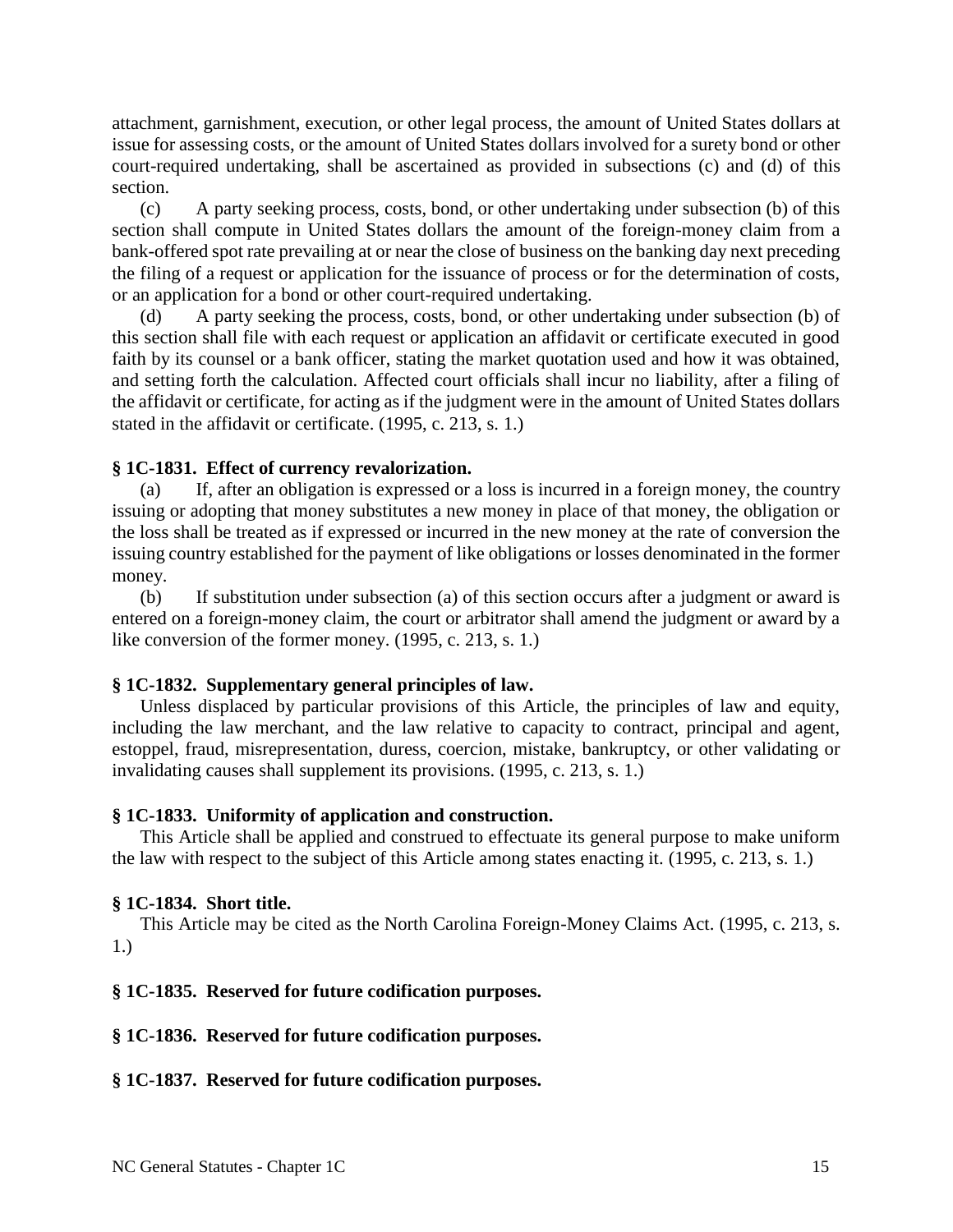attachment, garnishment, execution, or other legal process, the amount of United States dollars at issue for assessing costs, or the amount of United States dollars involved for a surety bond or other court-required undertaking, shall be ascertained as provided in subsections (c) and (d) of this section.

(c) A party seeking process, costs, bond, or other undertaking under subsection (b) of this section shall compute in United States dollars the amount of the foreign-money claim from a bank-offered spot rate prevailing at or near the close of business on the banking day next preceding the filing of a request or application for the issuance of process or for the determination of costs, or an application for a bond or other court-required undertaking.

(d) A party seeking the process, costs, bond, or other undertaking under subsection (b) of this section shall file with each request or application an affidavit or certificate executed in good faith by its counsel or a bank officer, stating the market quotation used and how it was obtained, and setting forth the calculation. Affected court officials shall incur no liability, after a filing of the affidavit or certificate, for acting as if the judgment were in the amount of United States dollars stated in the affidavit or certificate. (1995, c. 213, s. 1.)

#### **§ 1C-1831. Effect of currency revalorization.**

(a) If, after an obligation is expressed or a loss is incurred in a foreign money, the country issuing or adopting that money substitutes a new money in place of that money, the obligation or the loss shall be treated as if expressed or incurred in the new money at the rate of conversion the issuing country established for the payment of like obligations or losses denominated in the former money.

(b) If substitution under subsection (a) of this section occurs after a judgment or award is entered on a foreign-money claim, the court or arbitrator shall amend the judgment or award by a like conversion of the former money. (1995, c. 213, s. 1.)

#### **§ 1C-1832. Supplementary general principles of law.**

Unless displaced by particular provisions of this Article, the principles of law and equity, including the law merchant, and the law relative to capacity to contract, principal and agent, estoppel, fraud, misrepresentation, duress, coercion, mistake, bankruptcy, or other validating or invalidating causes shall supplement its provisions. (1995, c. 213, s. 1.)

#### **§ 1C-1833. Uniformity of application and construction.**

This Article shall be applied and construed to effectuate its general purpose to make uniform the law with respect to the subject of this Article among states enacting it. (1995, c. 213, s. 1.)

#### **§ 1C-1834. Short title.**

This Article may be cited as the North Carolina Foreign-Money Claims Act. (1995, c. 213, s. 1.)

### **§ 1C-1835. Reserved for future codification purposes.**

#### **§ 1C-1836. Reserved for future codification purposes.**

#### **§ 1C-1837. Reserved for future codification purposes.**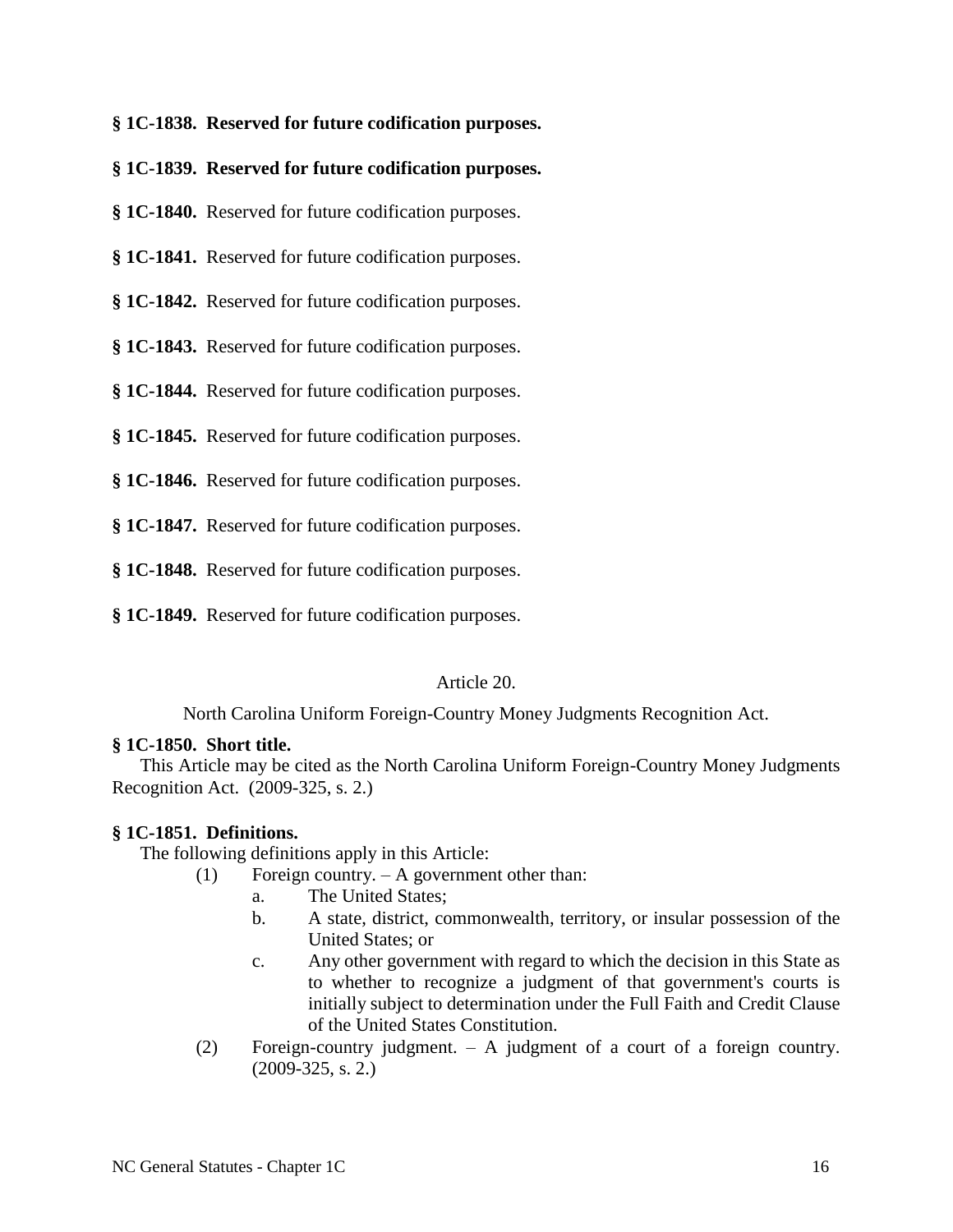**§ 1C-1838. Reserved for future codification purposes.**

**§ 1C-1839. Reserved for future codification purposes.**

**§ 1C-1840.** Reserved for future codification purposes.

**§ 1C-1841.** Reserved for future codification purposes.

**§ 1C-1842.** Reserved for future codification purposes.

**§ 1C-1843.** Reserved for future codification purposes.

**§ 1C-1844.** Reserved for future codification purposes.

**§ 1C-1845.** Reserved for future codification purposes.

**§ 1C-1846.** Reserved for future codification purposes.

**§ 1C-1847.** Reserved for future codification purposes.

**§ 1C-1848.** Reserved for future codification purposes.

**§ 1C-1849.** Reserved for future codification purposes.

Article 20.

North Carolina Uniform Foreign-Country Money Judgments Recognition Act.

#### **§ 1C-1850. Short title.**

This Article may be cited as the North Carolina Uniform Foreign-Country Money Judgments Recognition Act. (2009-325, s. 2.)

#### **§ 1C-1851. Definitions.**

The following definitions apply in this Article:

- (1) Foreign country. A government other than:
	- a. The United States;
	- b. A state, district, commonwealth, territory, or insular possession of the United States; or
	- c. Any other government with regard to which the decision in this State as to whether to recognize a judgment of that government's courts is initially subject to determination under the Full Faith and Credit Clause of the United States Constitution.
- (2) Foreign-country judgment. A judgment of a court of a foreign country. (2009-325, s. 2.)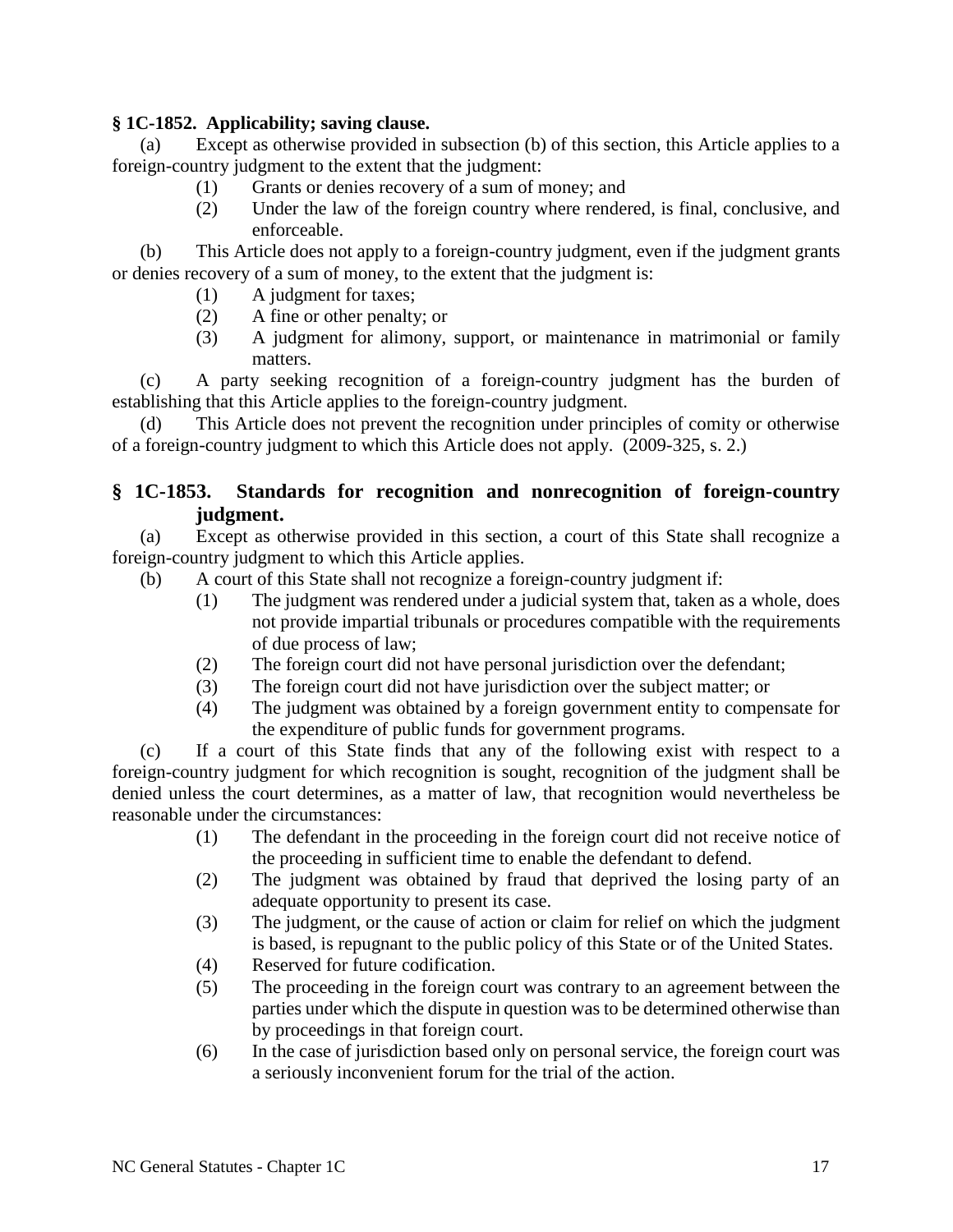### **§ 1C-1852. Applicability; saving clause.**

(a) Except as otherwise provided in subsection (b) of this section, this Article applies to a foreign-country judgment to the extent that the judgment:

- (1) Grants or denies recovery of a sum of money; and
- (2) Under the law of the foreign country where rendered, is final, conclusive, and enforceable.

(b) This Article does not apply to a foreign-country judgment, even if the judgment grants or denies recovery of a sum of money, to the extent that the judgment is:

- (1) A judgment for taxes;
- (2) A fine or other penalty; or
- (3) A judgment for alimony, support, or maintenance in matrimonial or family matters.

(c) A party seeking recognition of a foreign-country judgment has the burden of establishing that this Article applies to the foreign-country judgment.

(d) This Article does not prevent the recognition under principles of comity or otherwise of a foreign-country judgment to which this Article does not apply. (2009-325, s. 2.)

# **§ 1C-1853. Standards for recognition and nonrecognition of foreign-country judgment.**

(a) Except as otherwise provided in this section, a court of this State shall recognize a foreign-country judgment to which this Article applies.

- (b) A court of this State shall not recognize a foreign-country judgment if:
	- (1) The judgment was rendered under a judicial system that, taken as a whole, does not provide impartial tribunals or procedures compatible with the requirements of due process of law;
	- (2) The foreign court did not have personal jurisdiction over the defendant;
	- (3) The foreign court did not have jurisdiction over the subject matter; or
	- (4) The judgment was obtained by a foreign government entity to compensate for the expenditure of public funds for government programs.

(c) If a court of this State finds that any of the following exist with respect to a foreign-country judgment for which recognition is sought, recognition of the judgment shall be denied unless the court determines, as a matter of law, that recognition would nevertheless be reasonable under the circumstances:

- (1) The defendant in the proceeding in the foreign court did not receive notice of the proceeding in sufficient time to enable the defendant to defend.
- (2) The judgment was obtained by fraud that deprived the losing party of an adequate opportunity to present its case.
- (3) The judgment, or the cause of action or claim for relief on which the judgment is based, is repugnant to the public policy of this State or of the United States.
- (4) Reserved for future codification.
- (5) The proceeding in the foreign court was contrary to an agreement between the parties under which the dispute in question was to be determined otherwise than by proceedings in that foreign court.
- (6) In the case of jurisdiction based only on personal service, the foreign court was a seriously inconvenient forum for the trial of the action.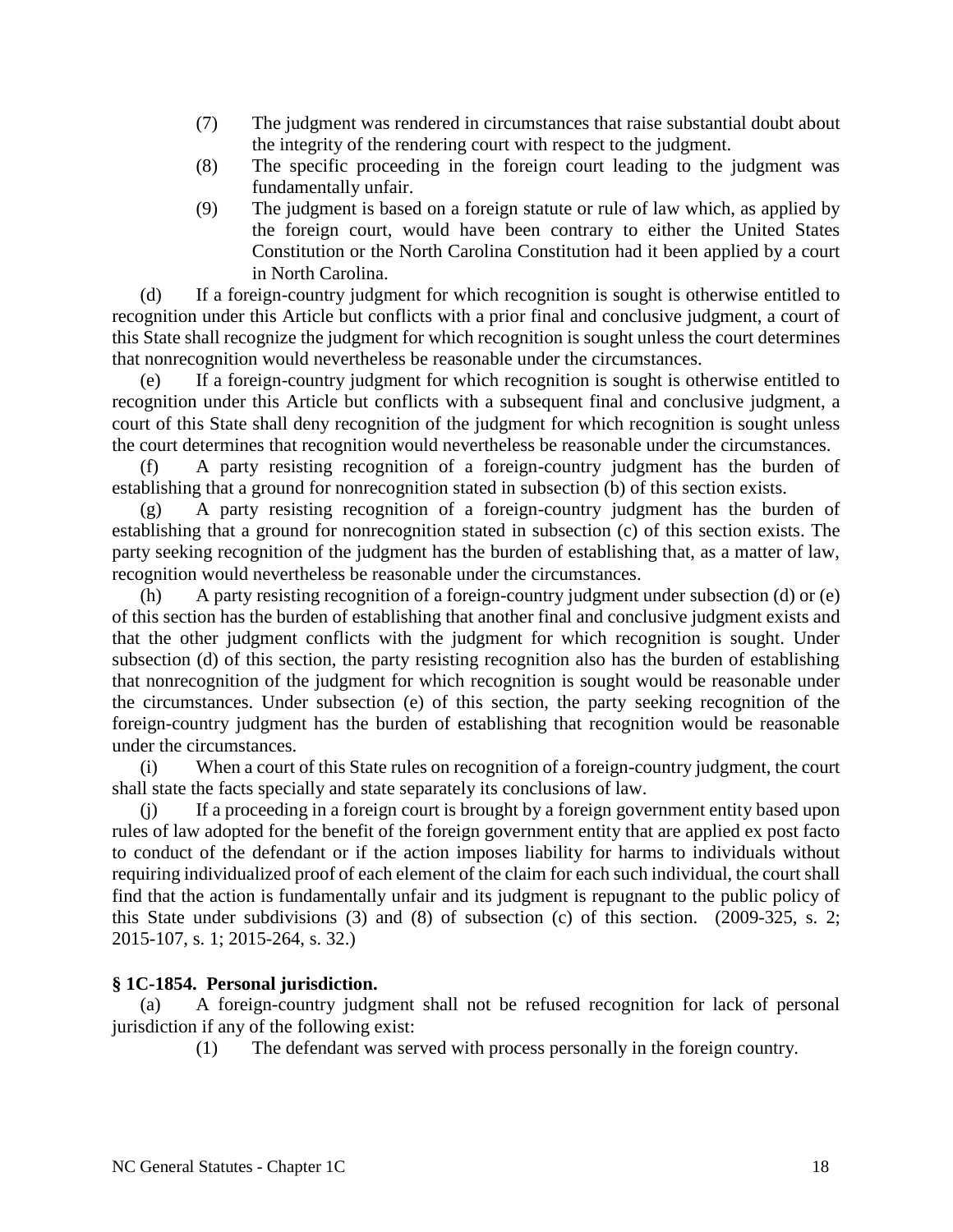- (7) The judgment was rendered in circumstances that raise substantial doubt about the integrity of the rendering court with respect to the judgment.
- (8) The specific proceeding in the foreign court leading to the judgment was fundamentally unfair.
- (9) The judgment is based on a foreign statute or rule of law which, as applied by the foreign court, would have been contrary to either the United States Constitution or the North Carolina Constitution had it been applied by a court in North Carolina.

(d) If a foreign-country judgment for which recognition is sought is otherwise entitled to recognition under this Article but conflicts with a prior final and conclusive judgment, a court of this State shall recognize the judgment for which recognition is sought unless the court determines that nonrecognition would nevertheless be reasonable under the circumstances.

(e) If a foreign-country judgment for which recognition is sought is otherwise entitled to recognition under this Article but conflicts with a subsequent final and conclusive judgment, a court of this State shall deny recognition of the judgment for which recognition is sought unless the court determines that recognition would nevertheless be reasonable under the circumstances.

(f) A party resisting recognition of a foreign-country judgment has the burden of establishing that a ground for nonrecognition stated in subsection (b) of this section exists.

(g) A party resisting recognition of a foreign-country judgment has the burden of establishing that a ground for nonrecognition stated in subsection (c) of this section exists. The party seeking recognition of the judgment has the burden of establishing that, as a matter of law, recognition would nevertheless be reasonable under the circumstances.

(h) A party resisting recognition of a foreign-country judgment under subsection (d) or (e) of this section has the burden of establishing that another final and conclusive judgment exists and that the other judgment conflicts with the judgment for which recognition is sought. Under subsection (d) of this section, the party resisting recognition also has the burden of establishing that nonrecognition of the judgment for which recognition is sought would be reasonable under the circumstances. Under subsection (e) of this section, the party seeking recognition of the foreign-country judgment has the burden of establishing that recognition would be reasonable under the circumstances.

(i) When a court of this State rules on recognition of a foreign-country judgment, the court shall state the facts specially and state separately its conclusions of law.

(j) If a proceeding in a foreign court is brought by a foreign government entity based upon rules of law adopted for the benefit of the foreign government entity that are applied ex post facto to conduct of the defendant or if the action imposes liability for harms to individuals without requiring individualized proof of each element of the claim for each such individual, the court shall find that the action is fundamentally unfair and its judgment is repugnant to the public policy of this State under subdivisions (3) and (8) of subsection (c) of this section. (2009-325, s. 2; 2015-107, s. 1; 2015-264, s. 32.)

## **§ 1C-1854. Personal jurisdiction.**

A foreign-country judgment shall not be refused recognition for lack of personal jurisdiction if any of the following exist:

(1) The defendant was served with process personally in the foreign country.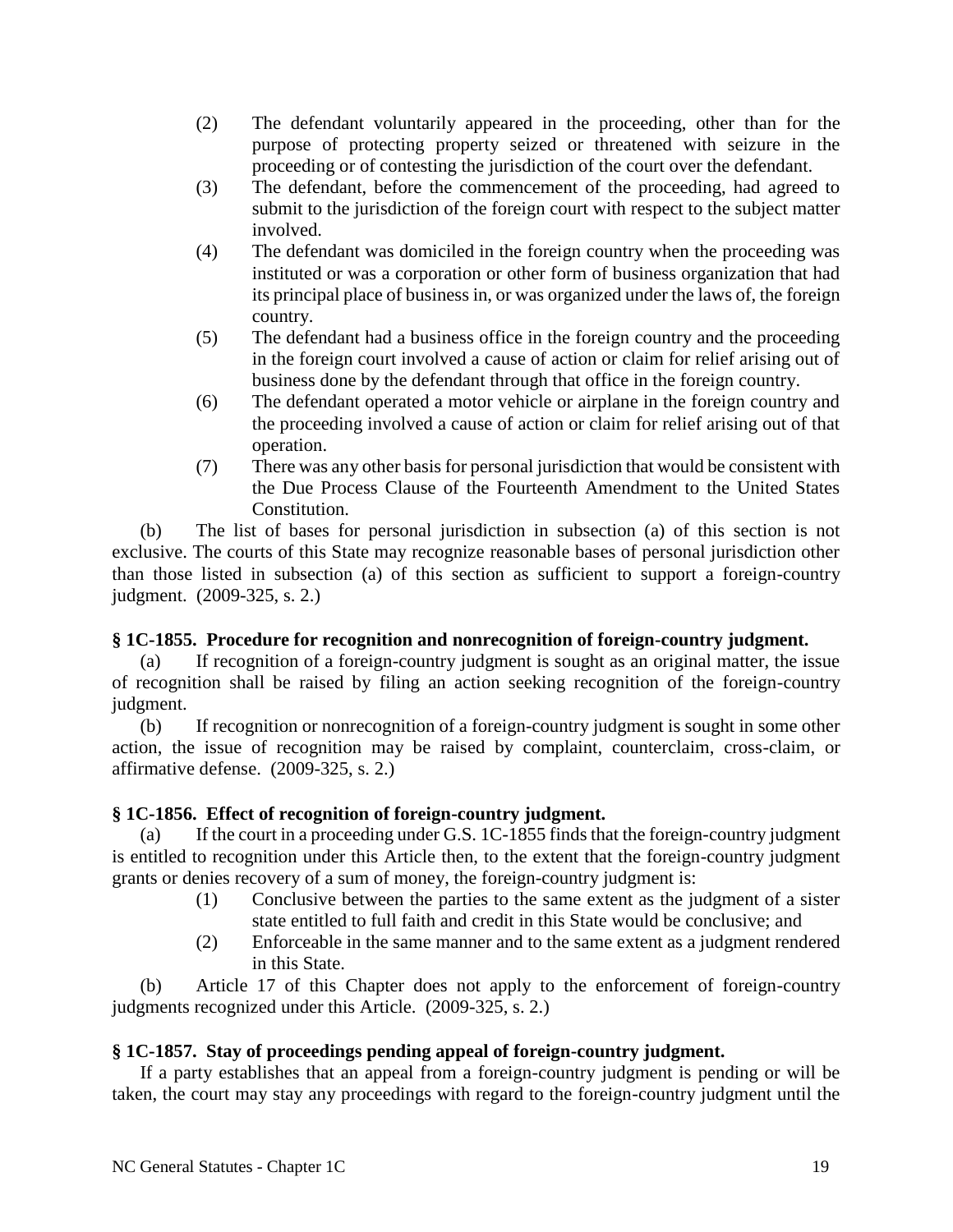- (2) The defendant voluntarily appeared in the proceeding, other than for the purpose of protecting property seized or threatened with seizure in the proceeding or of contesting the jurisdiction of the court over the defendant.
- (3) The defendant, before the commencement of the proceeding, had agreed to submit to the jurisdiction of the foreign court with respect to the subject matter involved.
- (4) The defendant was domiciled in the foreign country when the proceeding was instituted or was a corporation or other form of business organization that had its principal place of business in, or was organized under the laws of, the foreign country.
- (5) The defendant had a business office in the foreign country and the proceeding in the foreign court involved a cause of action or claim for relief arising out of business done by the defendant through that office in the foreign country.
- (6) The defendant operated a motor vehicle or airplane in the foreign country and the proceeding involved a cause of action or claim for relief arising out of that operation.
- (7) There was any other basis for personal jurisdiction that would be consistent with the Due Process Clause of the Fourteenth Amendment to the United States Constitution.

(b) The list of bases for personal jurisdiction in subsection (a) of this section is not exclusive. The courts of this State may recognize reasonable bases of personal jurisdiction other than those listed in subsection (a) of this section as sufficient to support a foreign-country judgment. (2009-325, s. 2.)

## **§ 1C-1855. Procedure for recognition and nonrecognition of foreign-country judgment.**

(a) If recognition of a foreign-country judgment is sought as an original matter, the issue of recognition shall be raised by filing an action seeking recognition of the foreign-country judgment.

(b) If recognition or nonrecognition of a foreign-country judgment is sought in some other action, the issue of recognition may be raised by complaint, counterclaim, cross-claim, or affirmative defense. (2009-325, s. 2.)

# **§ 1C-1856. Effect of recognition of foreign-country judgment.**

(a) If the court in a proceeding under G.S. 1C-1855 finds that the foreign-country judgment is entitled to recognition under this Article then, to the extent that the foreign-country judgment grants or denies recovery of a sum of money, the foreign-country judgment is:

- (1) Conclusive between the parties to the same extent as the judgment of a sister state entitled to full faith and credit in this State would be conclusive; and
- (2) Enforceable in the same manner and to the same extent as a judgment rendered in this State.

(b) Article 17 of this Chapter does not apply to the enforcement of foreign-country judgments recognized under this Article. (2009-325, s. 2.)

# **§ 1C-1857. Stay of proceedings pending appeal of foreign-country judgment.**

If a party establishes that an appeal from a foreign-country judgment is pending or will be taken, the court may stay any proceedings with regard to the foreign-country judgment until the